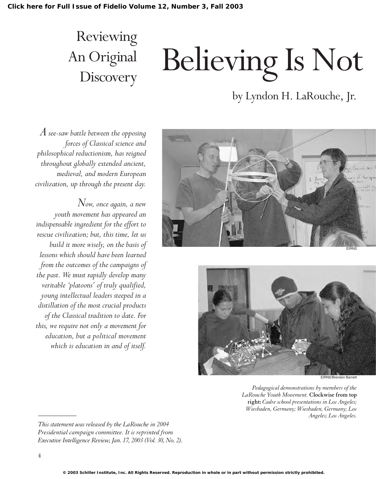### Reviewing An Original **Discovery**

# Believing Is Not

#### by Lyndon H. LaRouche, Jr.

*A see-saw battle between the opposing forces of Classical science and philosophical reductionism, has reigned throughout globally extended ancient, medieval, and modern European civilization, up through the present day.*

*Now, once again, a new youth movement has appeared an indispensable ingredient for the effort to rescue civilization; but, this time, let us build it more wisely, on the basis of lessons which should have been learned from the outcomes of the campaigns of the past. We must rapidly develop many veritable 'platoons' of truly qualified, young intellectual leaders steeped in a distillation of the most crucial products of the Classical tradition to date. For this, we require not only a movement for education, but a political movement which is education in and of itself.*





*Pedagogical demonstrations by members of the LaRouche Youth Movement.* **Clockwise from top right:** *Cadre school presentations in Los Angeles; Wiesbaden, Germany; Wiesbaden, Germany; Los Angeles; Los Angeles.*

*This statement was released by the LaRouche in 2004 Presidential campaign committee. It is reprinted from Executive Intelligence Review, Jan. 17, 2003 (Vol. 30, No. 2).*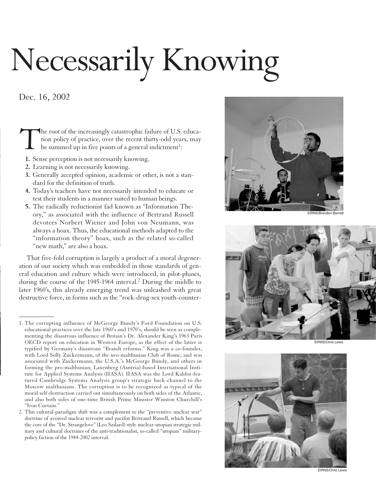## Necessarily Knowing

#### Dec. 16, 2002

*\_\_\_\_\_\_\_\_\_\_\_\_*

The root of the increasingly catastrophic failure of U.S. education policy of practice, over the recent thirty-odd years, may be summed up in five points of a general indictment<sup>1</sup>: tion policy of practice, over the recent thirty-odd years, may be summed up in five points of a general indictment<sup>1</sup>:

- **1.** Sense perception is not necessarily knowing.
- **2.** Learning is not necessarily knowing.
- **3.** Generally accepted opinion, academic or other, is not a standard for the definition of truth.
- **4.** Today's teachers have not necessarily intended to educate or test their students in a manner suited to human beings.
- **5.** The radically reductionist fad known as "Information Theory," as associated with the influence of Bertrand Russell devotees Norbert Wiener and John von Neumann, was always a hoax. Thus, the educational methods adapted to the "information theory" hoax, such as the related so-called "new math," are also a hoax.

That five-fold corruption is largely a product of a moral degeneration of our society which was embedded in those standards of general education and culture which were introduced, in pilot-phases, during the course of the 1945-1964 interval.2 During the middle to later 1960's, this already emerging trend was unleashed with great destructive force, in forms such as the "rock-drug-sex youth-counter-





EIRNS/Chris Lewis



EIRNS/Chris Lewis

<sup>1.</sup> The corrupting influence of McGeorge Bundy's Ford Foundation on U.S. educational practices over the late 1960's and 1970's, should be seen as complementing the disastrous influence of Britain's Dr. Alexander King's 1963 Paris OECD report on education in Western Europe, as the effect of the latter is typified by Germany's disastrous "Brandt reforms." King was a co-founder, with Lord Solly Zuckermann, of the neo-malthusian Club of Rome, and was associated with Zuckermann, the U.S.A.'s McGeorge Bundy, and others in forming the pro-malthusian, Laxenberg (Austria)-based International Institute for Applied Systems Analysis (IIASA). IIASA was the Lord Kaldor-featured Cambridge Systems Analysis group's strategic back-channel to the Moscow malthusians. The corruption is to be recognized as typical of the moral self-destruction carried out simultaneously on both sides of the Atlantic, and also both sides of one-time British Prime Minister Winston Churchill's "Iron Curtain."

<sup>2.</sup> This cultural-paradigm shift was a complement to the "preventive nuclear war" doctrine of avowed nuclear terrorist and pacifist Bertrand Russell, which became the core of the "Dr. Strangelove" (Leo Szilard) style nuclear-utopian strategic military and cultural doctrines of the anti-traditionalist, so-called "utopian" militarypolicy faction of the 1944-2002 interval.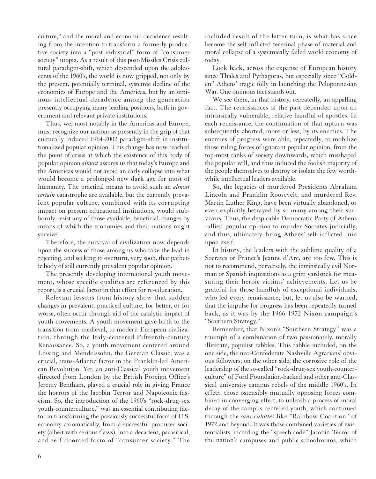culture," and the moral and economic decadence resulting from the intention to transform a formerly productive society into a "post-industrial" form of "consumer society" utopia. As a result of this post-Missiles Crisis cultural paradigm-shift, which descended upon the adolescents of the 1960's, the world is now gripped, not only by the present, potentially terminal, systemic decline of the economies of Europe and the Americas, but by an ominous intellectual decadence among the generation presently occupying many leading positions, both in government and relevant private institutions.

Thus, we, most notably in the Americas and Europe, must recognize our nations as presently in the grip of that culturally induced 1964-2002 paradigm-shift in institutionalized popular opinion. This change has now reached the point of crisis at which the existence of this body of popular opinion *almost* assures us that today's Europe and the Americas would not avoid an early collapse into what would become a prolonged new dark age for most of humanity. The practical means to avoid such an *almost certain* catastrophe are available, but the currently prevalent popular culture, combined with its corrupting impact on present educational institutions, would stubbornly resist any of those available, beneficial changes by means of which the economies and their nations might survive.

Therefore, the survival of civilization now depends upon the success of those among us who take the lead in rejecting, and seeking to overturn, very soon, that pathetic body of still currently prevalent popular opinion.

The presently developing international youth movement, whose specific qualities are referenced by this report, is a crucial factor in that effort for re-education.

Relevant lessons from history show that sudden changes in prevalent, practiced culture, for better, or for worse, often occur through aid of the catalytic impact of youth movements. A youth movement gave birth to the transition from medieval, to modern European civilization, through the Italy-centered Fifteenth-century Renaissance. So, a youth movement centered around Lessing and Mendelssohn, the German Classic, was a crucial, trans-Atlantic factor in the Franklin-led American Revolution. Yet, an anti-Classical youth movement directed from London by the British Foreign Office's Jeremy Bentham, played a crucial role in giving France the horrors of the Jacobin Terror and Napoleonic fascism. So, the introduction of the 1960's "rock-drug-sex youth-counterculture," was an essential contributing factor in transforming the previously successful form of U.S. economy axiomatically, from a successful producer society (albeit with serious flaws), into a decadent, parasitical, and self-doomed form of "consumer society." The

included result of the latter turn, is what has since become the self-inflicted terminal phase of material and moral collapse of a systemically failed world economy of today.

Look back, across the expanse of European history since Thales and Pythagoras, but especially since "Golden" Athens' tragic folly in launching the Peloponnesian War. One ominous fact stands out.

We see there, in that history, repeatedly, an appalling fact. The renaissances of the past depended upon an intrinsically vulnerable, relative handful of apostles. In each renaissance, the continuation of that upturn was subsequently aborted, more or less, by its enemies. The enemies of progress were able, repeatedly, to mobilize those ruling forces of ignorant popular opinion, from the top-most ranks of society downwards, which misshaped the popular will, and thus induced the foolish majority of the people themselves to destroy or isolate the few worthwhile intellectual leaders available.

So, the legacies of murdered Presidents Abraham Lincoln and Franklin Roosevelt, and murdered Rev. Martin Luther King, have been virtually abandoned, or even explicitly betrayed by so many among their survivors. Thus, the despicable Democratic Party of Athens rallied popular opinion to murder Socrates judicially, and thus, ultimately, bring Athens' self-inflicted ruin upon itself.

In history, the leaders with the sublime quality of a Socrates or France's Jeanne d'Arc, are too few. This is not to recommend, perversely, the intrinsically evil Norman or Spanish inquisitions as a grim yardstick for measuring their heroic victims' achievements. Let us be grateful for those handfuls of exceptional individuals, who led every renaissance; but, let us also be warned, that the impulse for progress has been repeatedly turned back, as it was by the 1966-1972 Nixon campaign's "Southern Strategy."

Remember, that Nixon's "Southern Strategy" was a triumph of a combination of two passionately, morally illiterate, populist rabbles. This rabble included, on the one side, the neo-Confederate Nashville Agrarians' obvious followers; on the other side, the corrosive role of the leadership of the so-called "rock-drug-sex youth-counterculture" of Ford Foundation-backed and other anti-Classical university campus rebels of the middle 1960's. In effect, those ostensibly mutually opposing forces combined in converging effect, to unleash a process of moral decay of the campus-centered youth, which continued through the *sans-culottes*-like "Rainbow Coalition" of 1972 and beyond. It was those combined varieties of existentialists, including the "speech code" Jacobin Terror of the nation's campuses and public schoolrooms, which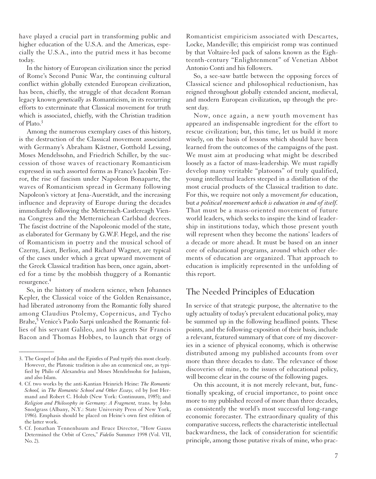have played a crucial part in transforming public and higher education of the U.S.A. and the Americas, especially the U.S.A., into the putrid mess it has become today.

In the history of European civilization since the period of Rome's Second Punic War, the continuing cultural conflict within globally extended European civilization, has been, chiefly, the struggle of that decadent Roman legacy known *genetically* as Romanticism, in its recurring efforts to exterminate that Classical movement for truth which is associated, chiefly, with the Christian tradition of Plato.3

Among the numerous exemplary cases of this history, is the destruction of the Classical movement associated with Germany's Abraham Kästner, Gotthold Lessing, Moses Mendelssohn, and Friedrich Schiller, by the succession of those waves of reactionary Romanticism expressed in such assorted forms as France's Jacobin Terror, the rise of fascism under Napoleon Bonaparte, the waves of Romanticism spread in Germany following Napoleon's victory at Jena-Auerstädt, and the increasing influence and depravity of Europe during the decades immediately following the Metternich-Castlereagh Vienna Congress and the Metternichean Carlsbad decrees. The fascist doctrine of the Napoleonic model of the state, as elaborated for Germany by G.W.F. Hegel, and the rise of Romanticism in poetry and the musical school of Czerny, Liszt, Berlioz, and Richard Wagner, are typical of the cases under which a great upward movement of the Greek Classical tradition has been, once again, aborted for a time by the mobbish thuggery of a Romantic resurgence.4

So, in the history of modern science, when Johannes Kepler, the Classical voice of the Golden Renaissance, had liberated astronomy from the Romantic folly shared among Claudius Ptolemy, Copernicus, and Tycho Brahe,<sup>5</sup> Venice's Paolo Sarpi unleashed the Romantic follies of his servant Galileo, and his agents Sir Francis Bacon and Thomas Hobbes, to launch that orgy of

*\_\_\_\_\_\_\_\_\_\_\_\_*

Romanticist empiricism associated with Descartes, Locke, Mandeville; this empiricist romp was continued by that Voltaire-led pack of salons known as the Eighteenth-century "Enlightenment" of Venetian Abbot Antonio Conti and his followers.

So, a see-saw battle between the opposing forces of Classical science and philosophical reductionism, has reigned throughout globally extended ancient, medieval, and modern European civilization, up through the present day.

Now, once again, a new youth movement has appeared an indispensable ingredient for the effort to rescue civilization; but, this time, let us build it more wisely, on the basis of lessons which should have been learned from the outcomes of the campaigns of the past. We must aim at producing what might be described loosely as a factor of mass-leadership. We must rapidly develop many veritable "platoons" of truly qualified, young intellectual leaders steeped in a distillation of the most crucial products of the Classical tradition to date. For this, we require not only a movement *for* education, but *a political movement which is education in and of itself.* That must be a mass-oriented movement of future world leaders, which seeks to inspire the kind of leadership in institutions today, which those present youth will represent when they become the nations' leaders of a decade or more ahead. It must be based on an inner core of educational programs, around which other elements of education are organized. That approach to education is implicitly represented in the unfolding of this report.

#### The Needed Principles of Education

In service of that strategic purpose, the alternative to the ugly actuality of today's prevalent educational policy, may be summed up in the following headlined points. These points, and the following exposition of their basis, include a relevant, featured summary of that core of my discoveries in a science of physical economy, which is otherwise distributed among my published accounts from over more than three decades to date. The relevance of those discoveries of mine, to the issues of educational policy, will become clear in the course of the following pages.

On this account, it is not merely relevant, but, functionally speaking, of crucial importance, to point once more to my published record of more than three decades, as consistently the world's most successful long-range economic forecaster. The extraordinary quality of this comparative success, reflects the characteristic intellectual backwardness, the lack of consideration for scientific principle, among those putative rivals of mine, who prac-

<sup>3.</sup> The Gospel of John and the Epistles of Paul typify this most clearly. However, the Platonic tradition is also an ecumenical one, as typified by Philo of Alexandria and Moses Mendelssohn for Judaism, and also Islam.

<sup>4.</sup> Cf. two works by the anti-Kantian Heinrich Heine: *The Romantic School,* in *The Romantic School and Other Essays,* ed by Jost Hermand and Robert C. Holub (New York: Continuum, 1985); and *Religion and Philosophy in Germany: A Fragment,* trans. by John Snodgrass (Albany, N.Y.: State University Press of New York, 1986). Emphasis should be placed on Heine's own first edition of the latter work.

<sup>5.</sup> Cf. Jonathan Tennenbaum and Bruce Director, "How Gauss Determined the Orbit of Ceres," *Fidelio* Summer 1998 (Vol. VII, No. 2).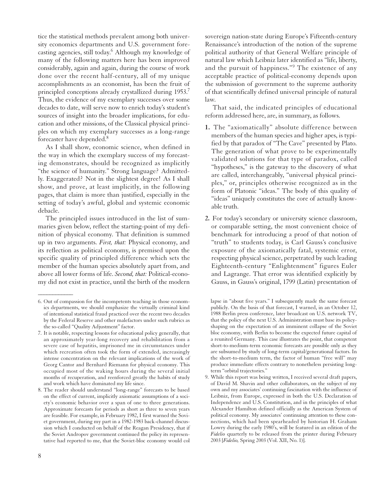tice the statistical methods prevalent among both university economics departments and U.S. government forecasting agencies, still today.6 Although my knowledge of many of the following matters here has been improved considerably, again and again, during the course of work done over the recent half-century, all of my unique accomplishments as an economist, has been the fruit of principled conceptions already crystallized during 1953.7 Thus, the evidence of my exemplary successes over some decades to date, will serve now to enrich today's student's sources of insight into the broader implications, for education and other missions, of the Classical physical principles on which my exemplary successes as a long-range forecaster have depended.8

As I shall show, economic science, when defined in the way in which the exemplary success of my forecasting demonstrates, should be recognized as implicitly "the science of humanity." Strong language? Admittedly. Exaggerated? Not in the slightest degree! As I shall show, and prove, at least implicitly, in the following pages, that claim is more than justified, especially in the setting of today's awful, global and systemic economic debacle.

The principled issues introduced in the list of summaries given below, reflect the starting-point of my definition of physical economy. That definition is summed up in two arguments. *First, that:* Physical economy, and its reflection as political economy, is premised upon the specific quality of principled difference which sets the member of the human species absolutely apart from, and above all lower forms of life. *Second, that:* Political-economy did not exist in practice, until the birth of the modern

sovereign nation-state during Europe's Fifteenth-century Renaissance's introduction of the notion of the supreme political authority of that General Welfare principle of natural law which Leibniz later identified as "life, liberty, and the pursuit of happiness."<sup>9</sup> The existence of any acceptable practice of political-economy depends upon the submission of government to the supreme authority of that scientifically defined universal principle of natural law.

That said, the indicated principles of educational reform addressed here, are, in summary, as follows.

- **1.** The "axiomatically" absolute difference between members of the human species and higher apes, is typified by that paradox of "The Cave" presented by Plato. The generation of what prove to be experimentally validated solutions for that type of paradox, called "hypotheses," is the gateway to the discovery of what are called, interchangeably, "universal physical principles," or, principles otherwise recognized as in the form of Platonic "ideas." The body of this quality of "ideas" uniquely constitutes the core of actually knowable truth.
- **2.** For today's secondary or university science classroom, or comparable setting, the most convenient choice of benchmark for introducing a proof of that notion of "truth" to students today, is Carl Gauss's conclusive exposure of the axiomatically fatal, systemic error, respecting physical science, perpetrated by such leading Eighteenth-century "Enlightenment" figures Euler and Lagrange. That error was identified explicitly by Gauss, in Gauss's original, 1799 (Latin) presentation of

9. While this report was being written, I received several draft papers, of David M. Shavin and other collaborators, on the subject of my own and my associates' continuing fascination with the influence of Leibniz, from Europe, expressed in both the U.S. Declaration of Independence and U.S. Constitution, and in the principles of what Alexander Hamilton defined officially as the American System of political economy. My associates' continuing attention to these connections, which had been spearheaded by historian H. Graham Lowry during the early 1980's, will be featured in an edition of the *Fidelio* quarterly to be released from the printer during February 2003 [*Fidelio,* Spring 2003 (Vol. XII, No. 1)].

<sup>6.</sup> Out of compassion for the incompetents teaching in those economics departments, we should emphasize the virtually criminal kind of intentional statistical fraud practiced over the recent two decades by the Federal Reserve and other malefactors under such rubrics as the so-called "Quality Adjustment" factor.

<sup>7.</sup> It is notable, respecting lessons for educational policy generally, that an approximately year-long recovery and rehabilitation from a severe case of hepatitis, imprisoned me in circumstances under which recreation often took the form of extended, increasingly intense concentration on the relevant implications of the work of Georg Cantor and Bernhard Riemann for physical economy. This occupied most of the waking hours during the several initial months of recuperation, and reenforced greatly the habits of study and work which have dominated my life since.

<sup>8.</sup> The reader should understand "long-range" forecasts to be based on the effect of current, implicitly axiomatic assumptions of a society's economic behavior over a span of one to three generations. Approximate forecasts for periods as short as three to seven years are feasible. For example, in February 1982, I first warned the Soviet government, during my part in a 1982-1983 back-channel discussion which I conducted on behalf of the Reagan Presidency, that if the Soviet Andropov government continued the policy its representative had reported to me, that the Soviet-bloc economy would col

lapse in "about five years." I subsequently made the same forecast publicly. On the basis of that forecast, I warned, in an October 12, 1988 Berlin press conference, later broadcast on U.S. network TV, that the policy of the next U.S. Administration must base its policyshaping on the expectation of an imminent collapse of the Soviet bloc economy, with Berlin to become the expected future capital of a reunited Germany. This case illustrates the point, that competent short-to-medium-term economic forecasts are possible only as they are subsumed by study of long-term capital/generational factors. In the short-to-medium term, the factor of human "free will" may produce immediate effects contrary to nonetheless persisting longterm "orbital trajectories."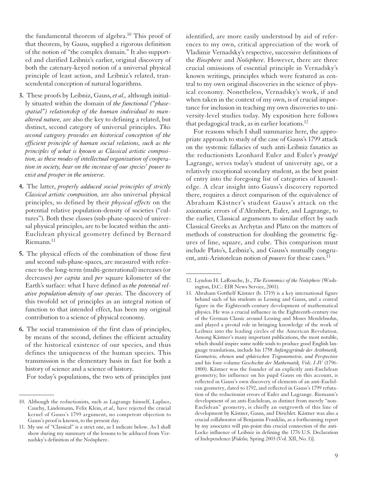the fundamental theorem of algebra.<sup>10</sup> This proof of that theorem, by Gauss, supplied a rigorous definition of the notion of "the complex domain." It also supported and clarified Leibniz's earlier, original discovery of both the catenary-keyed notion of a universal physical principle of least action, and Leibniz's related, transcendental conception of natural logarithms.

- **3.** These proofs by Leibniz, Gauss, *et al.,* although initially situated within the domain of *the functional ("phasespatial") relationship of the human individual to manaltered nature,* are also the key to defining a related, but distinct, second category of universal principles. *This second category provides an historical conception of the efficient principle of human social relations, such as the principles of what is known as Classical artistic composition, as these modes of intellectual organization of cooperation in society, bear on the increase of our species' power to exist and prosper in the universe.*
- **4.** The latter, *properly adduced social principles of strictly Classical artistic composition,* are also universal physical principles, so defined by their *physical effects* on the potential relative population-density of societies ("cultures"). Both these classes (sub-phase-spaces) of universal physical principles, are to be located within the anti-Euclidean physical geometry defined by Bernard Riemann.<sup>11</sup>
- **5.** The physical effects of the combination of those first and second sub-phase-spaces, are measured with reference to the long-term (multi-generational) increases (or decreases) *per capita* and *per* square kilometer of the Earth's surface: what I have defined as *the potential relative population-density of our species.* The discovery of this twofold set of principles as an integral notion of function to that intended effect, has been my original contribution to a science of physical economy.
- **6.** The social transmission of the first class of principles, by means of the second, defines the efficient actuality of the historical existence of our species, and thus defines the uniqueness of the human species. This transmission is the elementary basis in fact for both a history of science and a science of history.

For today's populations, the two sets of principles just

*\_\_\_\_\_\_\_\_\_\_\_\_*

identified, are more easily understood by aid of references to my own, critical appreciation of the work of Vladimir Vernadsky's respective, successive definitions of the *Biosphere* and *Noösphere.* However, there are three crucial omissions of essential principle in Vernadsky's known writings, principles which were featured as central to my own original discoveries in the science of physical economy. Nonetheless, Vernadsky's work, if and when taken in the context of my own, is of crucial importance for inclusion in teaching my own discoveries to university-level studies today. My exposition here follows that pedagogical track, as in earlier locations. $^{12}$ 

For reasons which I shall summarize here, the appropriate approach to study of the case of Gauss's 1799 attack on the systemic fallacies of such anti-Leibniz fanatics as the reductionists Leonhard Euler and Euler's *protégé* Lagrange, serves today's student of university age, or a relatively exceptional secondary student, as the best point of entry into the foregoing list of categories of knowledge. A clear insight into Gauss's discovery reported there, requires a direct comparison of the equivalence of Abraham Kästner's student Gauss's attack on the axiomatic errors of d'Alembert, Euler, and Lagrange, to the earlier, Classical arguments to similar effect by such Classical Greeks as Archytas and Plato on the matters of methods of construction for doubling the geometric figures of line, square, and cube. This comparison must include Plato's, Leibniz's, and Gauss's mutually congruent, anti-Aristotelean notion of *powers* for these cases.13

<sup>10.</sup> Although the reductionists, such as Lagrange himself, Laplace, Cauchy, Lindemann, Felix Klein, *et al.,* have rejected the crucial kernel of Gauss's 1799 argument, no competent objection to Gauss's proof is known, to the present day.

<sup>11.</sup> My use of "Classical" is a strict one, as I indicate below. As I shall show during my summary of the lessons to be adduced from Vernadsky's definition of the Noösphere.

<sup>12.</sup> Lyndon H. LaRouche, Jr., *The Economics of the Noösphere* (Washington, D.C.: EIR News Service, 2001).

<sup>13.</sup> Abraham Gotthelf Kästner (b. 1719) is a key international figure behind such of his students as Lessing and Gauss, and a central figure in the Eighteenth-century development of mathematical physics. He was a crucial influence in the Eighteenth-century rise of the German Classic around Lessing and Moses Mendelssohn, and played a pivotal role in bringing knowledge of the work of Leibniz into the leading circles of the American Revolution. Among Kästner's many important publications, the most notable, which should inspire some noble souls to produce good English language translations, include his 1758 *Anfangsgründe der Arithmetik, Geometrie, ebenen und sphärischen Trigonometrie, und Perspective* and his four-volume *Geschichte der Mathematik, Vols. I-IV* (1796- 1800). Kästner was the founder of an explicitly anti-Euclidean geometry; his influence on his pupil Gauss on this account, is reflected in Gauss's own discovery of elements of an anti-Euclidean geometry, dated to 1792, and reflected in Gauss's 1799 refutation of the reductionist errors of Euler and Lagrange. Riemann's development of an anti-Euclidean, as distinct from merely "non-Euclidean" geometry, is chiefly an outgrowth of this line of development by Kästner, Gauss, and Dirichlet. Kästner was also a crucial collaborator of Benjamin Franklin, as a forthcoming report by my associates will pin-point this crucial connection of the anti-Locke influence of Leibniz in defining the 1776 U.S. Declaration of Independence [*Fidelio,* Spring 2003 (Vol. XII, No. 1)].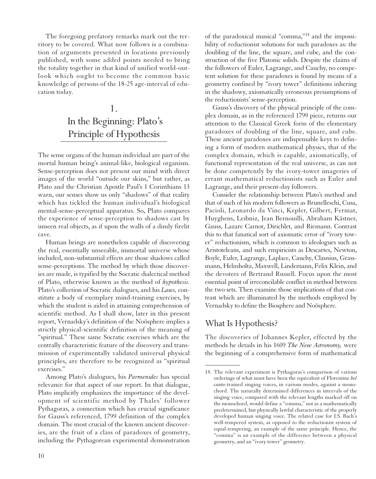The foregoing prefatory remarks mark out the territory to be covered. What now follows is a combination of arguments presented in locations previously published, with some added points needed to bring the totality together in that kind of unified world-outlook which ought to become the common basic knowledge of persons of the 18-25 age-interval of education today.

#### 1. In the Beginning: Plato's Principle of Hypothesis

The sense organs of the human individual are part of the mortal human being's animal-like, biological organism. Sense-perception does not present our mind with direct images of the world "outside our skins," but rather, as Plato and the Christian Apostle Paul's 1 Corinthians 13 warn, our senses show us only "shadows" of that reality which has tickled the human individual's biological mental-sense-perceptual apparatus. So, Plato compares the experience of sense-perception to shadows cast by unseen real objects, as if upon the walls of a dimly firelit cave.

Human beings are nonetheless capable of discovering the real, essentially unseeable, immortal universe whose included, non-substantial effects are those shadows called sense-perceptions. The method by which those discoveries are made, is typified by the Socratic dialectical method of Plato, otherwise known as the method of *hypothesis.* Plato's collection of Socratic dialogues, and his *Laws,* constitute a body of exemplary mind-training exercises, by which the student is aided in attaining comprehension of scientific method. As I shall show, later in this present report, Vernadsky's definition of the Noösphere implies a strictly physical-scientific definition of the meaning of "spiritual." These same Socratic exercises which are the centrally characteristic feature of the discovery and transmission of experimentally validated universal physical principles, are therefore to be recognized as "spiritual exercises."

Among Plato's dialogues, his *Parmenides* has special relevance for that aspect of our report. In that dialogue, Plato implicitly emphasizes the importance of the development of scientific method by Thales' follower Pythagoras, a connection which has crucial significance for Gauss's referenced, 1799 definition of the complex domain. The most crucial of the known ancient discoveries, are the fruit of a class of paradoxes of geometry, including the Pythagorean experimental demonstration

of the paradoxical musical "comma,"14 and the impossibility of reductionist solutions for such paradoxes as: the doubling of the line, the square, and cube, and the construction of the five Platonic solids. Despite the claims of the followers of Euler, Lagrange, and Cauchy, no competent solution for these paradoxes is found by means of a geometry confined by "ivory tower" definitions inhering in the shadowy, axiomatically erroneous presumptions of the reductionists' sense-perception.

Gauss's discovery of the physical principle of the complex domain, as in the referenced 1799 piece, returns our attention to the Classical Greek form of the elementary paradoxes of doubling of the line, square, and cube. These ancient paradoxes are indispensable keys to defining a form of modern mathematical physics, that of the complex domain, which is capable, axiomatically, of functional representation of the real universe, as can not be done competently by the ivory-tower imageries of errant mathematical reductionists such as Euler and Lagrange, and their present-day followers.

Consider the relationship between Plato's method and that of such of his modern followers as Brunelleschi, Cusa, Pacioli, Leonardo da Vinci, Kepler, Gilbert, Fermat, Huyghens, Leibniz, Jean Bernouilli, Abraham Kästner, Gauss, Lazare Carnot, Dirichlet, and Riemann. Contrast this to that fanatical sort of axiomatic error of "ivory tower" reductionism, which is common to ideologues such as Aristoteleans, and such empiricists as Descartes, Newton, Boyle, Euler, Lagrange, Laplace, Cauchy, Clausius, Grassmann, Helmholtz, Maxwell, Lindemann, Felix Klein, and the devotees of Bertrand Russell. Focus upon the most essential point of irreconcilable conflict in method between the two sets. Then examine those implications of that contrast which are illuminated by the methods employed by Vernadsky to define the Biosphere and Noösphere.

#### What Is Hypothesis?

*\_\_\_\_\_\_\_\_\_\_\_\_*

The discoveries of Johannes Kepler, effected by the methods he details in his 1609 *The New Astronomy,* were the beginning of a comprehensive form of mathematical

<sup>14.</sup> The relevant experiment is Pythagoras's comparison of various orderings of what must have been the equivalent of Florentine *bel canto*-trained singing voices, in various modes, against a monochord. The naturally determined differences in intervals of the singing voice, compared with the relevant lengths marked off on the monochord, would define a "comma," not as a mathematically predetermined, but physically lawful characteristic of the properly developed human singing voice. The related case for J.S. Bach's well-tempered system, as opposed to the reductionist system of equal-tempering, an example of the same principle. Hence, the "comma" is an example of the difference between a physical geometry, and an "ivory tower" geometry.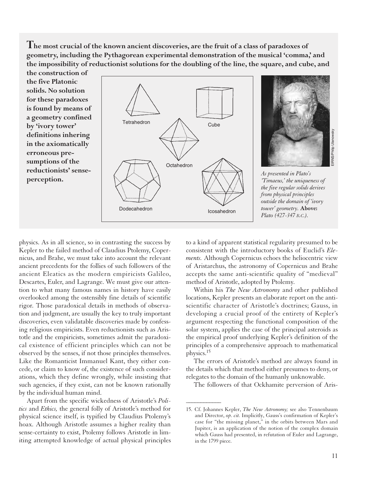**The most crucial of the known ancient discoveries, are the fruit of a class of paradoxes of geometry, including the Pythagorean experimental demonstration of the musical 'comma,' and the impossibility of reductionist solutions for the doubling of the line, the square, and cube, and**

**the construction of the five Platonic solids. No solution for these paradoxes is found by means of a geometry confined by 'ivory tower' definitions inhering in the axiomatically erroneous presumptions of the reductionists' senseperception.**



*\_\_\_\_\_\_\_\_\_\_\_\_*

physics. As in all science, so in contrasting the success by Kepler to the failed method of Claudius Ptolemy, Copernicus, and Brahe, we must take into account the relevant ancient precedents for the follies of such followers of the ancient Eleatics as the modern empiricists Galileo, Descartes, Euler, and Lagrange. We must give our attention to what many famous names in history have easily overlooked among the ostensibly fine details of scientific rigor. Those paradoxical details in methods of observation and judgment, are usually the key to truly important discoveries, even validatable discoveries made by confessing religious empiricists. Even reductionists such as Aristotle and the empiricists, sometimes admit the paradoxical existence of efficient principles which can not be observed by the senses, if not those principles themselves. Like the Romanticist Immanuel Kant, they either concede, or claim to know of, the existence of such considerations, which they define wrongly, while insisting that such agencies, if they exist, can not be known rationally by the individual human mind.

Apart from the specific wickedness of Aristotle's *Politics* and *Ethics,* the general folly of Aristotle's method for physical science itself, is typified by Claudius Ptolemy's hoax. Although Aristotle assumes a higher reality than sense-certainty to exist, Ptolemy follows Aristotle in limiting attempted knowledge of actual physical principles

to a kind of apparent statistical regularity presumed to be consistent with the introductory books of Euclid's *Elements.* Although Copernicus echoes the heliocentric view of Aristarchus, the astronomy of Copernicus and Brahe accepts the same anti-scientific quality of "medieval" method of Aristotle, adopted by Ptolemy.

Within his *The New Astronomy* and other published locations, Kepler presents an elaborate report on the antiscientific character of Aristotle's doctrines; Gauss, in developing a crucial proof of the entirety of Kepler's argument respecting the functional composition of the solar system, applies the case of the principal asteroids as the empirical proof underlying Kepler's definition of the principles of a comprehensive approach to mathematical physics.15

The errors of Aristotle's method are always found in the details which that method either presumes to deny, or relegates to the domain of the humanly unknowable.

The followers of that Ockhamite perversion of Aris-

<sup>15.</sup> Cf. Johannes Kepler, *The New Astronomy;* see also Tennenbaum and Director, *op. cit.* Implicitly, Gauss's confirmation of Kepler's case for "the missing planet," in the orbits between Mars and Jupiter, is an application of the notion of the complex domain which Gauss had presented, in refutation of Euler and Lagrange, in the 1799 piece.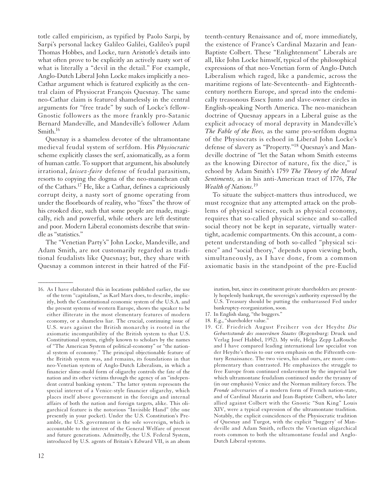totle called empiricism, as typified by Paolo Sarpi, by Sarpi's personal lackey Galileo Galilei, Galileo's pupil Thomas Hobbes, and Locke, turn Aristotle's details into what often prove to be explicitly an actively nasty sort of what is literally a "devil in the detail." For example, Anglo-Dutch Liberal John Locke makes implicitly a neo-Cathar argument which is featured explicitly as the central claim of Physiocrat François Quesnay. The same neo-Cathar claim is featured shamelessly in the central arguments for "free trade" by such of Locke's fellow-Gnostic followers as the more frankly pro-Satanic Bernard Mandeville, and Mandeville's follower Adam Smith.16

Quesnay is a shameless devotee of the ultramontane medieval feudal system of serfdom. His *Physiocratic* scheme explicitly classes the serf, axiomatically, as a form of human cattle. To support that argument, his absolutely irrational, *laissez-faire* defense of feudal parasitism, resorts to copying the dogma of the neo-manichean cult of the Cathars.17 He, like a Cathar, defines a capriciously corrupt deity, a nasty sort of gnome operating from under the floorboards of reality, who "fixes" the throw of his crooked dice, such that some people are made, magically, rich and powerful, while others are left destitute and poor. Modern Liberal economists describe that swindle as "statistics."

The "Venetian Party's" John Locke, Mandeville, and Adam Smith, are not customarily regarded as traditional feudalists like Quesnay; but, they share with Quesnay a common interest in their hatred of the Fif-

teenth-century Renaissance and of, more immediately, the existence of France's Cardinal Mazarin and Jean-Baptiste Colbert. These "Enlightenment" Liberals are all, like John Locke himself, typical of the philosophical expressions of that neo-Venetian form of Anglo-Dutch Liberalism which raged, like a pandemic, across the maritime regions of late-Seventeenth- and Eighteenthcentury northern Europe, and spread into the endemically treasonous Essex Junto and slave-owner circles in English-speaking North America. The neo-manichean doctrine of Quesnay appears in a Liberal guise as the explicit advocacy of moral depravity in Mandeville's *The Fable of the Bees,* as the same pro-serfdom dogma of the Physiocrats is echoed in Liberal John Locke's defense of slavery as "Property."<sup>18</sup> Quesnay's and Mandeville doctrine of "let the Satan whom Smith esteems as the knowing Director of nature, fix the dice," is echoed by Adam Smith's 1759 *The Theory of the Moral Sentiments,* as in his anti-American tract of 1776, *The Wealth of Nations.*<sup>19</sup>

To situate the subject-matters thus introduced, we must recognize that any attempted attack on the problems of physical science, such as physical economy, requires that so-called physical science and so-called social theory not be kept in separate, virtually watertight, academic compartments. On this account, a competent understanding of both so-called "physical science" and "social theory," depends upon viewing both, simultaneously, as I have done, from a common axiomatic basis in the standpoint of the pre-Euclid

ination, but, since its constituent private shareholders are presently hopelessly bankrupt, the sovereign's authority expressed by the U.S. Treasury should be putting the embarrassed Fed under bankruptcy-reorganization, soon.

- 17. In English slang, "the buggers."
- 18. E.g., "shareholder value."
- 19. Cf. Friedrich August Freiherr von der Heydte *Die Geburtsstunde des souveränen Staates* (Regensburg: Druck und Verlag Josef Habbel, 1952). My wife, Helga Zepp LaRouche and I have compared leading international law specialist von der Heydte's thesis to our own emphasis on the Fifteenth-century Renaissance. The two views, his and ours, are more complementary than contrasted. He emphasizes the struggle to free Europe from continued enslavement by the imperial law which ultramontane feudalism continued under the tyranny of (in our emphasis) Venice and the Norman military forces. The *Fronde* adversaries of a modern form of French nation-state, and of Cardinal Mazarin and Jean-Baptiste Colbert, who later allied against Colbert with the Gnostic "Sun King" Louis XIV, were a typical expression of the ultramontane tradition. Notably, the explicit coincidences of the Physiocratic tradition of Quesnay and Turgot, with the explicit "buggery' of Mandeville and Adam Smith, reflects the Venetian oligarchical roots common to both the ultramontane feudal and Anglo-Dutch Liberal systems.

<sup>16.</sup> As I have elaborated this in locations published earlier, the use of the term "capitalism," as Karl Marx does, to describe, implicitly, both the Constitutional economic system of the U.S.A. and the present systems of western Europe, shows the speaker to be either illiterate in the most elementary features of modern economy, or a shameless liar. The crucial, continuing issue of U.S. wars against the British monarchy is rooted in the axiomatic incompatibility of the British system to that U.S. Constitutional system, rightly known to scholars by the names of "The American System of political-economy" or "the national system of economy." The principal objectionable feature of the British system was, and remains, its foundations in that neo-Venetian system of Anglo-Dutch Liberalism, in which a financier slime-mold form of oligarchy controls the fate of the nation and its other victims through the agency of an "independent central banking system." The latter system represents the special interest of a Venice-style financier oligarchy, which places itself above government in the foreign and internal affairs of both the nation and foreign targets, alike. This oligarchical feature is the notorious "Invisible Hand" (the one presently in your pocket). Under the U.S. Constitution's Preamble, the U.S. government is the sole sovereign, which is accountable to the interest of the General Welfare of present and future generations. Admittedly, the U.S. Federal System, introduced by U.S. agents of Britain's Edward VII, is an abom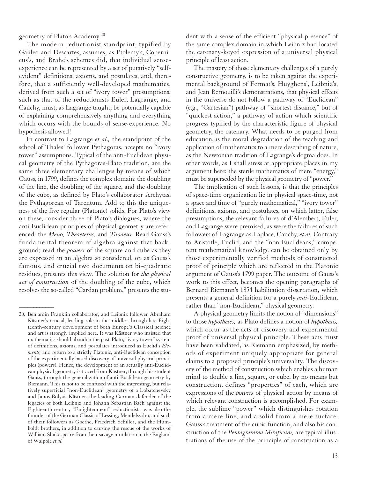geometry of Plato's Academy.<sup>20</sup>

The modern reductionist standpoint, typified by Galileo and Descartes, assumes, as Ptolemy's, Copernicus's, and Brahe's schemes did, that individual senseexperience can be represented by a set of putatively "selfevident" definitions, axioms, and postulates, and, therefore, that a sufficiently well-developed mathematics, derived from such a set of "ivory tower" presumptions, such as that of the reductionists Euler, Lagrange, and Cauchy, must, as Lagrange taught, be potentially capable of explaining comprehensively anything and everything which occurs with the bounds of sense-experience. No hypothesis allowed!

In contrast to Lagrange *et al.,* the standpoint of the school of Thales' follower Pythagoras, accepts no "ivory tower" assumptions. Typical of the anti-Euclidean physical geometry of the Pythagoras-Plato tradition, are the same three elementary challenges by means of which Gauss, in 1799, defines the complex domain: the doubling of the line, the doubling of the square, and the doubling of the cube, as defined by Plato's collaborator Archytas, the Pythagorean of Tarentum. Add to this the uniqueness of the five regular (Platonic) solids. For Plato's view on these, consider three of Plato's dialogues, where the anti-Euclidean principles of physical geometry are referenced: the *Meno, Theaetetus,* and *Timaeus.* Read Gauss's fundamental theorem of algebra against that background; read the *powers* of the square and cube as they are expressed in an algebra so considered, or, as Gauss's famous, and crucial two documents on bi-quadratic residues, presents this view. The solution for *the physical act of construction* of the doubling of the cube, which resolves the so-called "Cardan problem," presents the stu-

*\_\_\_\_\_\_\_\_\_\_\_\_*

dent with a sense of the efficient "physical presence" of the same complex domain in which Leibniz had located the catenary-keyed expression of a universal physical principle of least action.

The mastery of those elementary challenges of a purely constructive geometry, is to be taken against the experimental background of Fermat's, Huyghens', Leibniz's, and Jean Bernouilli's demonstrations, that physical effects in the universe do not follow a pathway of "Euclidean" (e.g., "Cartesian") pathway of "shortest distance," but of "quickest action," a pathway of action which scientific progress typified by the characteristic figure of physical geometry, the catenary. What needs to be purged from education, is the moral degradation of the teaching and application of mathematics to a mere describing of nature, as the Newtonian tradition of Lagrange's dogma does. In other words, as I shall stress at appropriate places in my argument here; the sterile mathematics of mere "energy," must be superseded by the physical geometry of "power."

The implication of such lessons, is that the principles of space-time organization lie in physical space-time, not a space and time of "purely mathematical," "ivory tower" definitions, axioms, and postulates, on which latter, false presumptions, the relevant failures of d'Alembert, Euler, and Lagrange were premised, as were the failures of such followers of Lagrange as Laplace, Cauchy, *et al.* Contrary to Aristotle, Euclid, and the "non-Euclideans," competent mathematical knowledge can be obtained only by those experimentally verified methods of constructed proof of principle which are reflected in the Platonic argument of Gauss's 1799 paper. The outcome of Gauss's work to this effect, becomes the opening paragraphs of Bernard Riemann's 1854 habilitation dissertation, which presents a general definition for a purely *anti*-Euclidean, rather than "non-Euclidean," physical geometry.

A physical geometry limits the notion of "dimensions" to those *hypotheses,* as Plato defines a notion of *hypothesis,* which occur as the acts of discovery and experimental proof of universal physical principle. These acts must have been validated, as Riemann emphasized, by methods of experiment uniquely appropriate for general claims to a proposed principle's universality. The discovery of the method of construction which enables a human mind to double a line, square, or cube, by no means but construction, defines "properties" of each, which are expressions of the *powers* of physical action by means of which relevant construction is accomplished. For example, the sublime "power" which distinguishes rotation from a mere line, and a solid from a mere surface. Gauss's treatment of the cubic function, and also his construction of the *Pentagramma Miraficum,* are typical illustrations of the use of the principle of construction as a

<sup>20.</sup> Benjamin Franklin collaborator, and Leibniz follower Abraham Kästner's crucial, leading role in the middle- through late-Eighteenth-century development of both Europe's Classical science and art is strongly implied here. It was Kästner who insisted that mathematics should abandon the post-Plato, "ivory tower" system of definitions, axioms, and postulates introduced as Euclid's *Elements,* and return to a strictly Platonic, anti-Euclidean conception of the experimentally based discovery of universal physical principles (powers). Hence, the development of an actually anti-Euclidean physical geometry is traced from Kästner, through his student Gauss, through the generalization of anti-Euclidean geometry by Riemann. This is not to be confused with the interesting, but relatively superficial "non-Euclidean" geometry of a Lobatchevsky and Janos Bolyai. Kästner, the leading German defender of the legacies of both Leibniz and Johann Sebastian Bach against the Eighteenth-century "Enlightenment" reductionists, was also the founder of the German Classic of Lessing, Mendelssohn, and such of their followers as Goethe, Friedrich Schiller, and the Humboldt brothers, in addition to causing the rescue of the works of William Shakespeare from their savage mutilation in the England of Walpole *et al.*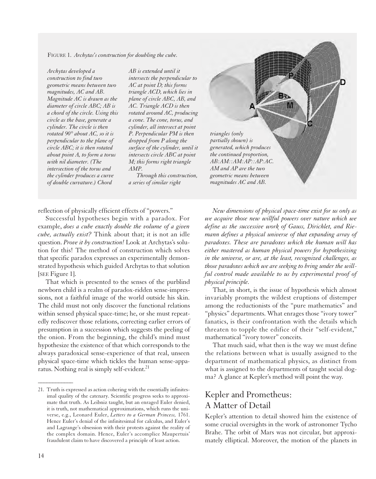FIGURE 1. *Archytas's construction for doubling the cube.*

*Archytas developed a construction to find two geometric means between two magnitudes, AC and AB. Magnitude AC is drawn as the diameter of circle ABC; AB is a chord of the circle. Using this circle as the base, generate a cylinder. The circle is then rotated 90° about AC, so it is perpendicular to the plane of circle ABC; it is then rotated about point A, to form a torus with nil diameter. (The intersection of the torus and the cylinder produces a curve of double curvature.) Chord*

*AB is extended until it intersects the perpendicular to AC at point D; this forms triangle ACD, which lies in plane of circle ABC, AB, and AC. Triangle ACD is then rotated around AC, producing a cone. The cone, torus, and cylinder, all intersect at point P. Perpendicular PM is then dropped from P along the surface of the cylinder, until it intersects circle ABC at point M; this forms right triangle AMP.*

*Through this construction, a series of similar right*

reflection of physically efficient effects of "powers."

Successful hypotheses begin with a paradox. For example, *does a cube exactly double the volume of a given cube, actually exist?* Think about that; it is not an idle question. *Prove it by construction!* Look at Archytas's solution for this! The method of construction which solves that specific paradox expresses an experimentally demonstrated hypothesis which guided Archytas to that solution [SEE Figure 1].

That which is presented to the senses of the purblind newborn child is a realm of paradox-ridden sense-impressions, not a faithful image of the world outside his skin. The child must not only discover the functional relations within sensed physical space-time; he, or she must repeatedly rediscover those relations, correcting earlier errors of presumption in a succession which suggests the peeling of the onion. From the beginning, the child's mind must hypothesize the existence of that which corresponds to the always paradoxical sense-experience of that real, unseen physical space-time which tickles the human sense-apparatus. Nothing real is simply self-evident.<sup>21</sup>

*triangles (only partially shown) is generated, which produces the continued proportion, AB:AM::AM:AP::AP:AC. AM and AP are the two geometric means between magnitudes AC and AB.* 

*New dimensions of physical space-time exist for us only as we acquire those new willful powers over nature which we define as the successive work of Gauss, Dirichlet, and Riemann defines a physical universe of that expanding array of paradoxes. These are paradoxes which the human will has either mastered as human physical powers for hypothesizing in the universe, or are, at the least, recognized challenges, as those paradoxes which we are seeking to bring under the willful control made available to us by experimental proof of physical principle.*

That, in short, is the issue of hypothesis which almost invariably prompts the wildest eruptions of distemper among the reductionists of the "pure mathematics" and "physics" departments. What enrages those "ivory tower" fanatics, is their confrontation with the details which threaten to topple the edifice of their "self-evident," mathematical "ivory tower" conceits.

That much said, what then is the way we must define the relations between what is usually assigned to the department of mathematical physics, as distinct from what is assigned to the departments of taught social dogma? A glance at Kepler's method will point the way.

#### Kepler and Prometheus: A Matter of Detail

Kepler's attention to detail showed him the existence of some crucial oversights in the work of astronomer Tycho Brahe. The orbit of Mars was not circular, but approximately elliptical. Moreover, the motion of the planets in

<sup>21.</sup> Truth is expressed as action cohering with the essentially infinitesimal quality of the catenary. Scientific progress seeks to approximate that truth. As Leibniz taught, but an enraged Euler denied, it is truth, not mathematical approximations, which runs the universe, e.g., Leonard Euler, *Letters to a German Princess,* 1761. Hence Euler's denial of the infinitesimal for calculus, and Euler's and Lagrange's obsession with their protests against the reality of the complex domain. Hence, Euler's accomplice Maupertuis' fraudulent claim to have discovered a principle of least action.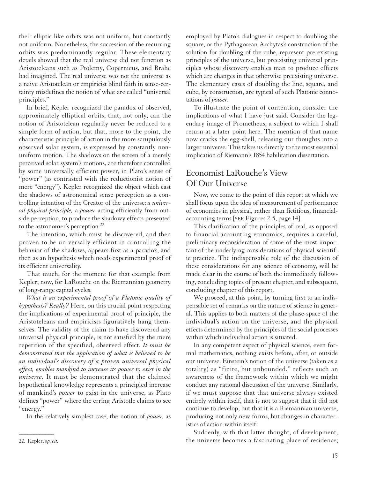their elliptic-like orbits was not uniform, but constantly not uniform. Nonetheless, the succession of the recurring orbits was predominantly regular. These elementary details showed that the real universe did not function as Aristoteleans such as Ptolemy, Copernicus, and Brahe had imagined. The real universe was not the universe as a naive Aristotelean or empiricist blind faith in sense-certainty misdefines the notion of what are called "universal principles."

In brief, Kepler recognized the paradox of observed, approximately elliptical orbits, that, not only, can the notion of Aristotelean regularity never be reduced to a simple form of action, but that, more to the point, the characteristic principle of action in the more scrupulously observed solar system, is expressed by constantly nonuniform motion. The shadows on the screen of a merely perceived solar system's motions, are therefore controlled by some universally efficient power, in Plato's sense of "power" (as contrasted with the reductionist notion of mere "energy"). Kepler recognized the object which cast the shadows of astronomical sense perception as a controlling intention of the Creator of the universe: *a universal physical principle,* a *power* acting efficiently from outside perception, to produce the shadowy effects presented to the astronomer's perception.<sup>22</sup>

The intention, which must be discovered, and then proven to be universally efficient in controlling the behavior of the shadows, appears first as a paradox, and then as an hypothesis which needs experimental proof of its efficient universality.

That much, for the moment for that example from Kepler; now, for LaRouche on the Riemannian geometry of long-range capital cycles.

*What is an experimental proof of a Platonic quality of hypothesis? Really?* Here, on this crucial point respecting the implications of experimental proof of principle, the Aristoteleans and empiricists figuratively hang themselves. The validity of the claim to have discovered any universal physical principle, is not satisfied by the mere repetition of the specified, observed effect. *It must be demonstrated that the application of what is believed to be an individual's discovery of a proven universal physical effect, enables mankind to increase its power to exist in the universe.* It must be demonstrated that the claimed hypothetical knowledge represents a principled increase of mankind's *power* to exist in the universe, as Plato defines "power" where the erring Aristotle claims to see "energy."

In the relatively simplest case, the notion of *power,* as

employed by Plato's dialogues in respect to doubling the square, or the Pythagorean Archytas's construction of the solution for doubling of the cube, represent pre-existing principles of the universe, but preexisting universal principles whose discovery enables man to produce effects which are changes in that otherwise preexisting universe. The elementary cases of doubling the line, square, and cube, by construction, are typical of such Platonic connotations of *power.*

To illustrate the point of contention, consider the implications of what I have just said. Consider the legendary image of Prometheus, a subject to which I shall return at a later point here. The mention of that name now cracks the egg-shell, releasing our thoughts into a larger universe. This takes us directly to the most essential implication of Riemann's 1854 habilitation dissertation.

#### Economist LaRouche's View Of Our Universe

Now, we come to the point of this report at which we shall focus upon the idea of measurement of performance of economies in physical, rather than fictitious, financialaccounting terms [SEE Figures 2-5, page 14].

This clarification of the principles of real, as opposed to financial-accounting economics, requires a careful, preliminary reconsideration of some of the most important of the underlying considerations of physical-scientific practice. The indispensable role of the discussion of these considerations for any science of economy, will be made clear in the course of both the immediately following, concluding topics of present chapter, and subsequent, concluding chapter of this report.

We proceed, at this point, by turning first to an indispensable set of remarks on the nature of science in general. This applies to both matters of the phase-space of the individual's action on the universe, and the physical effects determined by the principles of the social processes within which individual action is situated.

In any competent aspect of physical science, even formal mathematics, nothing exists before, after, or outside our universe. Einstein's notion of the universe (taken as a totality) as "finite, but unbounded," reflects such an awareness of the framework within which we might conduct any rational discussion of the universe. Similarly, if we must suppose that that universe always existed entirely within itself, that is not to suggest that it did not continue to develop, but that it is a Riemannian universe, producing not only new forms, but changes in characteristics of action within itself.

Suddenly, with that latter thought, of development, the universe becomes a fascinating place of residence;

*\_\_\_\_\_\_\_\_\_\_\_\_* 22. Kepler, *op. cit.*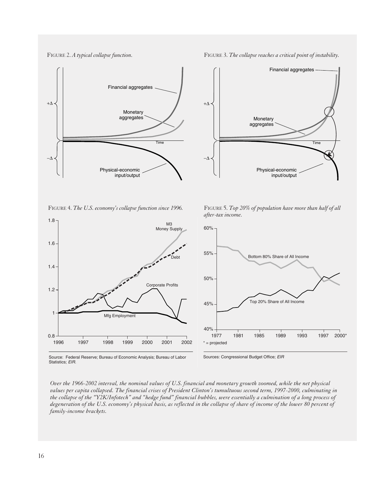FIGURE 2 **A Typical Collapse Function** FIGURE 2. *A typical collapse function*.  $\blacksquare$  FIGURE 3. *The collapse reaches a critical point of instability*.



**1996**  FIGURE 4. *The U.S. economy's collapse function since 1996.*



**The Collapse Reaches a Critical Point of** 

FIGURE 5. *Top 20% of population have more than half of all* **of All After-Tax Income**  *after-tax income.*



Source: Federal Reserve; Bureau of Economic Analysis; Bureau of Labor Statistics; *EIR.*

Sources: Congressional Budget Office; *EIR*

*Over the 1966-2002 interval, the nominal values of U.S. financial and monetary growth zoomed, while the net physical values per capita collapsed. The financial crises of President Clinton's tumultuous second term, 1997-2000, culminating in the collapse of the "Y2K/Infotech" and "hedge fund" financial bubbles, were essentially a culmination of a long process of degeneration of the U.S. economy's physical basis, as reflected in the collapse of share of income of the lower 80 percent of family-income brackets.*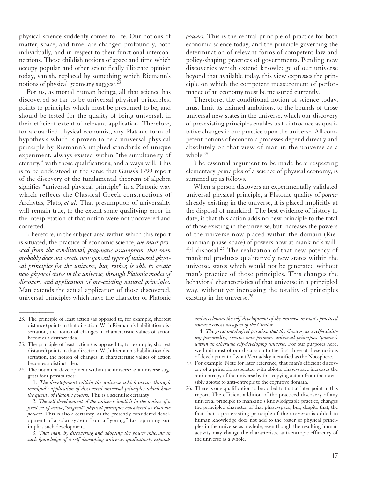physical science suddenly comes to life. Our notions of matter, space, and time, are changed profoundly, both individually, and in respect to their functional interconnections. Those childish notions of space and time which occupy popular and other scientifically illiterate opinion today, vanish, replaced by something which Riemann's notions of physical geometry suggest.23

For us, as mortal human beings, all that science has discovered so far to be universal physical principles, points to principles which must be presumed to be, and should be tested for the quality of being universal, in their efficient extent of relevant application. Therefore, for a qualified physical economist, any Platonic form of hypothesis which is proven to be a universal physical principle by Riemann's implied standards of unique experiment, always existed within "the simultaneity of eternity," with those qualifications, and always will. This is to be understood in the sense that Gauss's 1799 report of the discovery of the fundamental theorem of algebra signifies "universal physical principle" in a Platonic way which reflects the Classical Greek constructions of Archytas, Plato, *et al.* That presumption of universality will remain true, to the extent some qualifying error in the interpretation of that notion were not uncovered and corrected.

Therefore, in the subject-area within which this report is situated, the practice of economic science, *we must proceed from the conditional, pragmatic assumption, that man probably does not create new general types of universal physical principles for the universe, but, rather, is able to create new physical states in the universe, through Platonic modes of discovery and application of pre-existing natural principles.* Man extends the actual application of those discovered, universal principles which have the character of Platonic

*\_\_\_\_\_\_\_\_\_\_\_\_*

1. *The development within the universe which occurs through mankind's application of discovered universal principles which have the quality of Platonic powers.* This is a scientific certainty.

2. *The self-development of the universe implicit in the notion of a fixed set of active,"original" physical principles considered as Platonic powers.* This is also a certainty, as the presently considered development of a solar system from a "young," fast-spinning sun implies such development.

3. *That man, by discovering and adopting the power inhering in such knowledge of a self-developing universe, qualitatively expands*  *powers.* This is the central principle of practice for both economic science today, and the principle governing the determination of relevant forms of competent law and policy-shaping practices of governments. Pending new discoveries which extend knowledge of our universe beyond that available today, this view expresses the principle on which the competent measurement of performance of an economy must be measured currently.

Therefore, the conditional notion of science today, must limit its claimed ambitions, to the bounds of those universal new states in the universe, which our discovery of pre-existing principles enables us to introduce as qualitative changes in our practice upon the universe. All competent notions of economic processes depend directly and absolutely on that view of man in the universe as a whole. $24$ 

The essential argument to be made here respecting elementary principles of a science of physical economy, is summed up as follows.

When a person discovers an experimentally validated universal physical principle, a Platonic quality of *power* already existing in the universe, it is placed implicitly at the disposal of mankind. The best evidence of history to date, is that this action adds no new principle to the total of those existing in the universe, but increases the powers of the universe now placed within the domain (Riemannian phase-space) of powers now at mankind's willful disposal.<sup>25</sup> The realization of that new potency of mankind produces qualitatively new states within the universe, states which would not be generated without man's practice of those principles. This changes the behavioral characteristics of that universe in a principled way, without yet increasing the totality of principles existing in the universe.<sup>26</sup>

*and accelerates the self-development of the universe in man's practiced role as a conscious agent of the Creator.*

4. *The great ontological paradox, that the Creator, as a self-subsisting personality, creates new primary universal principles (powers) within an otherwise self-developing universe.* For our purposes here, we limit most of our discussion to the first three of these notions of development of what Vernadsky identified as the Noösphere.

- 25. For example: Note for later reference, that man's efficient discovery of a principle associated with abiotic phase-space increases the anti-entropy of the universe by this copying action from the ostensibly abiotic to anti-entropic to the cognitive domain.
- 26. There is one qualification to be added to that at later point in this report. The efficient addition of the practiced discovery of any universal principle to mankind's knowledgeable practice, changes the principled character of that phase-space, but, despite that, the fact that a pre-existing principle of the universe is added to human knowledge does not add to the roster of physical principles in the universe as a whole, even though the resulting human activity may change the characteristic anti-entropic efficiency of the universe as a whole.

<sup>23.</sup> The principle of least action (as opposed to, for example, shortest distance) points in that direction. With Riemann's habilitation dissertation, the notion of changes in characteristic values of action becomes a distinct idea.

<sup>23.</sup> The principle of least action (as opposed to, for example, shortest distance) points in that direction. With Riemann's habilitation dissertation, the notion of changes in characteristic values of action becomes a distinct idea.

<sup>24.</sup> The notion of development within the universe as a universe suggests four possibilities: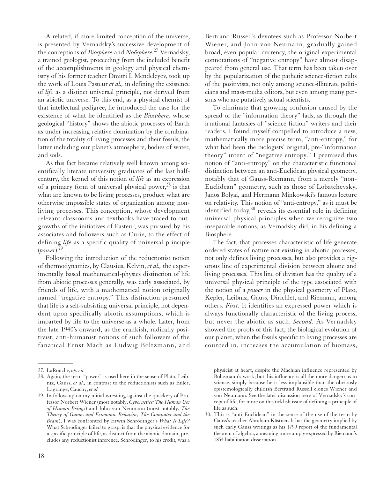A related, if more limited conception of the universe, is presented by Vernadsky's successive development of the conceptions of *Biosphere* and *Noösphere.*<sup>27</sup> Vernadsky, a trained geologist, proceeding from the included benefit of the accomplishments in geology and physical chemistry of his former teacher Dmitri I. Mendeleyev, took up the work of Louis Pasteur *et al.,* in defining the existence of *life* as a distinct universal principle, not derived from an abiotic universe. To this end, as a physical chemist of that intellectual pedigree, he introduced the case for the existence of what he identified as the *Biosphere,* whose geological "history" shows the abiotic processes of Earth as under increasing relative domination by the combination of the totality of living processes and their fossils, the latter including our planet's atmosphere, bodies of water, and soils.

As this fact became relatively well known among scientifically literate university graduates of the last halfcentury, the kernel of this notion of *life* as an expression of a primary form of universal physical power, <sup>28</sup> is that what are known to be living processes, produce what are otherwise impossible states of organization among nonliving processes. This conception, whose development relevant classrooms and textbooks have traced to outgrowths of the initiatives of Pasteur, was pursued by his associates and followers such as Curie, to the effect of defining *life* as a specific quality of universal principle (*power*).29

Following the introduction of the reductionist notion of thermodynamics, by Clausius, Kelvin, *et al.,* the experimentally based mathematical-physics distinction of life from abiotic processes generally, was early associated, by friends of life, with a mathematical notion originally named "negative entropy." This distinction presumed that life is a self-subsisting universal principle, not dependent upon specifically abiotic assumptions, which is imparted by life to the universe as a whole. Later, from the late 1940's onward, as the crankish, radically positivist, anti-humanist notions of such followers of the fanatical Ernst Mach as Ludwig Boltzmann, and

Bertrand Russell's devotees such as Professor Norbert Wiener, and John von Neumann, gradually gained broad, even popular currency, the original experimental connotations of "negative entropy" have almost disappeared from general use. That term has been taken over by the popularization of the pathetic science-fiction cults of the positivists, not only among science-illiterate politicians and mass-media editors, but even among many persons who are putatively actual scientists.

To eliminate that growing confusion caused by the spread of the "information theory" fads, as through the irrational fantasies of "science fiction" writers and their readers, I found myself compelled to introduce a new, mathematically more precise term, "anti-entropy," for what had been the biologists' original, pre-"information theory" intent of "negative entropy." I premised this notion of "anti-entropy" on the characteristic functional distinction between an anti-Euclidean physical geometry, notably that of Gauss-Riemann, from a merely "non-Euclidean" geometry, such as those of Lobatchevsky, Janos Bolyai, and Hermann Minkowski's famous lecture on relativity. This notion of "anti-entropy," as it must be identified today,<sup>30</sup> reveals its essential role in defining universal physical principles when we recognize two inseparable notions, as Vernadsky did, in his defining a Biosphere.

The fact, that processes characteristic of life generate ordered states of nature not existing in abiotic processes, not only defines living processes, but also provides a rigorous line of experimental division between abiotic and living processes. This line of division has the quality of a universal physical principle of the type associated with the notion of a *power* in the physical geometry of Plato, Kepler, Leibniz, Gauss, Dirichlet, and Riemann, among others. *First:* It identifies an expressed power which is always functionally characteristic of the living process, but never the abiotic as such. *Second:* As Vernadsky showed the proofs of this fact, the biological evolution of our planet, when the fossils specific to living processes are counted in, increases the accumulation of biomass,

*\_\_\_\_\_\_\_\_\_\_\_\_*

physicist at heart, despite the Machian influence represented by Boltzmann's work; but, his influence is all the more dangerous to science, simply because he is less implausible than the obviously epistemologically childish Bertrand Russell clones Wiener and von Neumann. See the later discussion here of Vernadsky's concept of life, for more on this ticklish issue of defining a principle of life as such.

<sup>27.</sup> LaRouche, *op. cit.*

<sup>28.</sup> Again, the term "power" is used here in the sense of Plato, Leibniz, Gauss, *et al.,* in contrast to the reductionists such as Euler, Lagrange, Cauchy, *et al.*

<sup>29.</sup> In follow-up on my initial wrestling against the quackery of Professor Norbert Wiener (most notably, *Cybernetics: The Human Use of Human Beings*) and John von Neumann (most notably, *The Theory of Games and Economic Behavior, The Computer and the Brain*), I was confronted by Erwin Schrödinger's *What Is Life?* What Schrödinger failed to grasp, is that the physical evidence for a specific principle of life, as distinct from the abiotic domain, precludes any reductionist inference. Schrödinger, to his credit, was a

<sup>30.</sup> This is "anti-Euclidean" in the sense of the use of the term by Gauss's teacher Abraham Kästner. It has the geometry implied by such early Gauss writings as his 1799 report of the fundamental theorem of algebra, a meaning more amply expressed by Riemann's 1854 habilitation dissertation.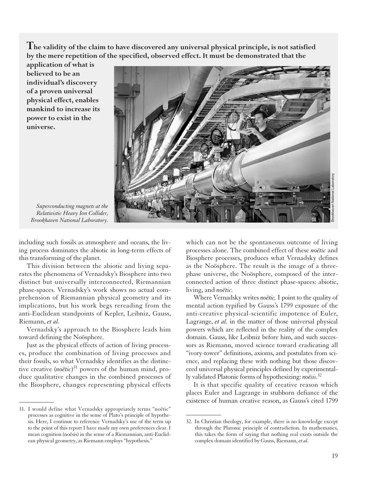**The validity of the claim to have discovered any universal physical principle, is not satisfied by the mere repetition of the specified, observed effect. It must be demonstrated that the**

**application of what is believed to be an individual's discovery of a proven universal physical effect, enables mankind to increase its power to exist in the universe.** 



*Superconducting magnets at the Relativistic Heavy Ion Collider, Brookhaven National Laboratory.*

including such fossils as atmosphere and oceans, the living process dominates the abiotic in long-term effects of this transforming of the planet.

This division between the abiotic and living separates the phenomena of Vernadsky's Biosphere into two distinct but universally interconnected, Riemannian phase-spaces. Vernadsky's work shows no actual comprehension of Riemannian physical geometry and its implications, but his work begs rereading from the anti-Euclidean standpoints of Kepler, Leibniz, Gauss, Riemann, *et al.*

Vernadsky's approach to the Biosphere leads him toward defining the Noösphere.

Just as the physical effects of action of living processes, produce the combination of living processes and their fossils, so what Vernadsky identifies as the distinctive creative (*noëtic*) <sup>31</sup> powers of the human mind, produce qualitative changes in the combined processes of the Biosphere, changes representing physical effects

*\_\_\_\_\_\_\_\_\_\_\_\_*

which can not be the spontaneous outcome of living processes alone. The combined effect of these *noëtic* and Biosphere processes, produces what Vernadsky defines as the Noösphere. The result is the image of a threephase universe, the Noösphere, composed of the interconnected action of three distinct phase-spaces: abiotic, living, and *noëtic.*

Where Vernadsky writes *noëtic,* I point to the quality of mental action typified by Gauss's 1799 exposure of the anti-creative physical-scientific impotence of Euler, Lagrange, *et al.* in the matter of those universal physical powers which are reflected in the reality of the complex domain. Gauss, like Leibniz before him, and such successors as Riemann, moved science toward eradicating all "ivory-tower" definitions, axioms, and postulates from science, and replacing these with nothing but those discovered universal physical principles defined by experimentally validated Platonic forms of hypothesizing: *noësis.*<sup>32</sup>

It is that specific quality of creative reason which places Euler and Lagrange in stubborn defiance of the existence of human creative reason, as Gauss's cited 1799

<sup>31.</sup> I would define what Vernadsky appropriately terms "noëtic" processes as cognitive in the sense of Plato's principle of hypothesis. Here, I continue to reference Vernadsky's use of the term up to the point of this report I have made my own preferences clear. I mean cognition (noësis) in the sense of a Riemannian, anti-Euclidean physical geometry, as Riemann employs "hypothesis."

<sup>32.</sup> In Christian theology, for example, there is no knowledge except through the Platonic principle of contradiction. In mathematics, this takes the form of saying that nothing real exists outside the complex domain identified by Gauss, Riemann, *et al.*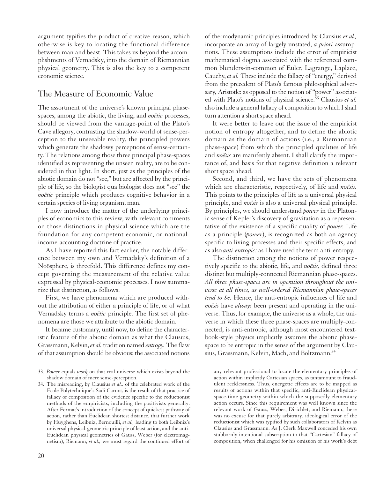argument typifies the product of creative reason, which otherwise is key to locating the functional difference between man and beast. This takes us beyond the accomplishments of Vernadsky, into the domain of Riemannian physical geometry. This is also the key to a competent economic science.

#### The Measure of Economic Value

The assortment of the universe's known principal phasespaces, among the abiotic, the living, and *noëtic* processes, should be viewed from the vantage-point of the Plato's Cave allegory, contrasting the shadow-world of sense-perception to the unseeable reality, the principled powers which generate the shadowy perceptions of sense-certainty. The relations among those three principal phase-spaces identified as representing the unseen reality, are to be considered in that light. In short, just as the principles of the abiotic domain do not "see," but are affected by the principle of life, so the biologist qua biologist does not "see" the *noëtic* principle which produces cognitive behavior in a certain species of living organism, man.

I now introduce the matter of the underlying principles of economics to this review, with relevant comments on those distinctions in physical science which are the foundation for any competent economic, or nationalincome-accounting doctrine of practice.

As I have reported this fact earlier, the notable difference between my own and Vernadsky's definition of a Noösphere, is threefold. This difference defines my concept governing the measurement of the relative value expressed by physical-economic processes. I now summarize that distinction, as follows.

First, we have phenomena which are produced without the attribution of either a principle of life, or of what Vernadsky terms a *noëtic* principle. The first set of phenomena are those we attribute to the abiotic domain.

It became customary, until now, to define the characteristic feature of the abiotic domain as what the Clausius, Grassmann, Kelvin, *et al.* tradition named *entropy.* The flaw of that assumption should be obvious; the associated notions

*\_\_\_\_\_\_\_\_\_\_\_\_*

of thermodynamic principles introduced by Clausius *et al.,* incorporate an array of largely unstated, *a priori* assumptions. These assumptions include the error of empiricist mathematical dogma associated with the referenced common blunders-in-common of Euler, Lagrange, Laplace, Cauchy, *et al.* These include the fallacy of "energy," derived from the precedent of Plato's famous philosophical adversary, Aristotle: as opposed to the notion of "power" associated with Plato's notions of physical science.<sup>33</sup> Clausius et al. also include a general fallacy of composition to which I shall turn attention a short space ahead.

It were better to leave out the issue of the empiricist notion of entropy altogether, and to define the abiotic domain as the domain of actions (i.e., a Riemannian phase-space) from which the principled qualities of life and *noësis* are manifestly absent. I shall clarify the importance of, and basis for that negative definition a relevant short space ahead.

Second, and third, we have the sets of phenomena which are characteristic, respectively, of life and *noësis.* This points to the principles of life as a universal physical principle, and *noësis* is also a universal physical principle. By principles, we should understand *power* in the Platonic sense of Kepler's discovery of gravitation as a representative of the existence of a specific quality of *power.* Life as a principle (*power*), is recognized as both an agency specific to living processes and their specific effects, and as also *anti-entropic:* as I have used the term anti-entropy.

The distinction among the notions of power respectively specific to the abiotic, life, and *noësis,* defined three distinct but multiply-connected Riemannian phase-spaces. *All three phase-spaces are in operation throughout the universe at all times, as well-ordered Riemannian phase-spaces tend to be.* Hence, the anti-entropic influences of life and *noësis* have *always* been present and operating in the universe. Thus, for example, the universe as a whole, the universe in which these three phase-spaces are multiply-connected, is anti-entropic, although most encountered textbook-style physics implicitly assumes the abiotic phasespace to be entropic in the sense of the argument by Clausius, Grassmann, Kelvin, Mach, and Boltzmann.<sup>34</sup>

any relevant professional to locate the elementary principles of action within implicitly Cartesian spaces, as tantamount to fraudulent recklessness. Thus, energetic effects are to be mapped as results of actions within that specific, anti-Euclidean physicalspace-time geometry within which the supposedly elementary action occurs. Since this requirement was well known since the relevant work of Gauss, Weber, Dirichlet, and Riemann, there was no excuse for that purely arbitrary, ideological error of the reductionist which was typified by such collaborators of Kelvin as Clausius and Grassmann. As J. Clerk Maxwell conceded his own stubbornly intentional subscription to that "Cartesian" fallacy of composition, when challenged for his omission of his work's debt

<sup>33.</sup> *Power* equals *work* on that real universe which exists beyond the shadow domain of mere sense-perception.

<sup>34.</sup> The misreading, by Clausius *et al.,* of the celebrated work of the Ecole Polytechnique's Sadi Carnot, is the result of that practice of fallacy of composition of the evidence specific to the reductionist methods of the empiricists, including the positivists generally. After Fermat's introduction of the concept of quickest pathway of action, rather than Euclidean shortest distance, that further work by Huyghens, Leibniz, Bernouilli, *et al.,* leading to both Leibniz's universal physical-geometric principle of least action, and the anti-Euclidean physical geometries of Gauss, Weber (for electromagnetism), Riemann, *et al.,* we must regard the continued effort of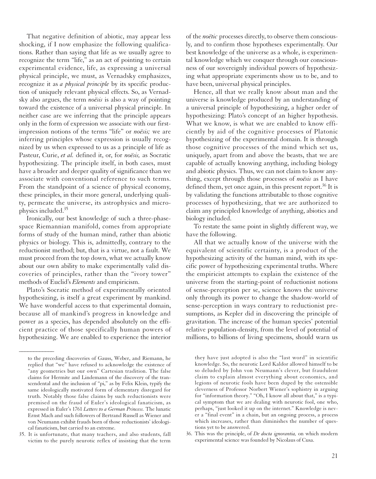That negative definition of abiotic, may appear less shocking, if I now emphasize the following qualifications. Rather than saying that life as we usually agree to recognize the term "life," as an act of pointing to certain experimental evidence, life, as expressing a universal physical principle, we must, as Vernadsky emphasizes, recognize it as *a physical principle* by its specific production of uniquely relevant physical effects. So, as Vernadsky also argues, the term *noësis* is also a way of pointing toward the existence of a universal physical principle. In neither case are we inferring that the principle appears only in the form of expression we associate with our firstimpression notions of the terms "life" or *noësis;* we are inferring principles whose expression is usually recognized by us when expressed to us as a principle of life as Pasteur, Curie, *et al.* defined it, or, for *noësis,* as Socratic hypothesizing. The principle itself, in both cases, must have a broader and deeper quality of significance than we associate with conventional reference to such terms. From the standpoint of a science of physical economy, these principles, in their more general, underlying quality, permeate the universe, its astrophysics and microphysics included.35

Ironically, our best knowledge of such a three-phasespace Riemannian manifold, comes from appropriate forms of study of the human mind, rather than abiotic physics or biology. This is, admittedly, contrary to the reductionist method; but, that is a virtue, not a fault. We must proceed from the top down, what we actually know about our own ability to make experimentally valid discoveries of principles, rather than the "ivory tower" methods of Euclid's *Elements* and empiricism.

Plato's Socratic method of experimentally oriented hypothesizing, is itself a great experiment by mankind. We have wonderful access to that experimental domain, because all of mankind's progress in knowledge and power as a species, has depended absolutely on the efficient practice of those specifically human powers of hypothesizing. We are enabled to experience the interior

*\_\_\_\_\_\_\_\_\_\_\_\_*

of the *noëtic* processes directly, to observe them consciously, and to confirm those hypotheses experimentally. Our best knowledge of the universe as a whole, is experimental knowledge which we conquer through our consciousness of our sovereignly individual powers of hypothesizing what appropriate experiments show us to be, and to have been, universal physical principles.

Hence, all that we really know about man and the universe is knowledge produced by an understanding of a universal principle of hypothesizing, a higher order of hypothesizing: Plato's concept of an higher hypothesis. What we know, is what we are enabled to know efficiently by aid of the cognitive processes of Platonic hypothesizing of the experimental domain. It is through those cognitive processes of the mind which set us, uniquely, apart from and above the beasts, that we are capable of actually knowing anything, including biology and abiotic physics. Thus, we can not claim to know anything, except through those processes of *noësis* as I have defined them, yet once again, in this present report.<sup>36</sup> It is by validating the functions attributable to those cognitive processes of hypothesizing, that we are authorized to claim any principled knowledge of anything, abiotics and biology included.

To restate the same point in slightly different way, we have the following.

All that we actually know of the universe with the equivalent of scientific certainty, is a product of the hypothesizing activity of the human mind, with its specific power of hypothesizing experimental truths. Where the empiricist attempts to explain the existence of the universe from the starting-point of reductionist notions of sense-perception per se, science knows the universe only through its power to change the shadow-world of sense-perception in ways contrary to reductionist presumptions, as Kepler did in discovering the principle of gravitation. The increase of the human species' potential relative population-density, from the level of potential of millions, to billions of living specimens, should warn us

they have just adopted is also the "last word" in scientific knowledge. So, the neurotic Lord Kaldor allowed himself to be so deluded by John von Neumann's clever, but fraudulent claim to explain almost everything about economics, and legions of neurotic fools have been duped by the ostensible cleverness of Professor Norbert Wiener's sophistry in arguing for "information theory." "Oh, I know all about that," is a typical symptom that we are dealing with neurotic fool, one who, perhaps, "just looked it up on the internet." Knowledge is never a "final event" in a chain, but an ongoing process, a process which increases, rather than diminishes the number of questions yet to be answered.

36. This was the principle, of *De docta ignorantia,* on which modern experimental science was founded by Nicolaus of Cusa.

to the preceding discoveries of Gauss, Weber, and Riemann, he replied that "we" have refused to acknowledge the existence of "any geometries but our own" Cartesian tradition. The false claims for Hermite and Lindemann of the discovery of the transcendental and the inclusion of "pi," as by Felix Klein, typify the same ideologically motivated form of elementary disregard for truth. Notably those false claims by such reductionists were premised on the fraud of Euler's ideological fanaticism, as expressed in Euler's 1761 *Letters to a German Princess.* The lunatic Ernst Mach and such followers of Bertrand Russell as Wiener and von Neumann exhibit frauds born of those reductionists' ideological fanaticism, but carried to an extreme.

<sup>35.</sup> It is unfortunate, that many teachers, and also students, fall victim to the purely neurotic reflex of insisting that the term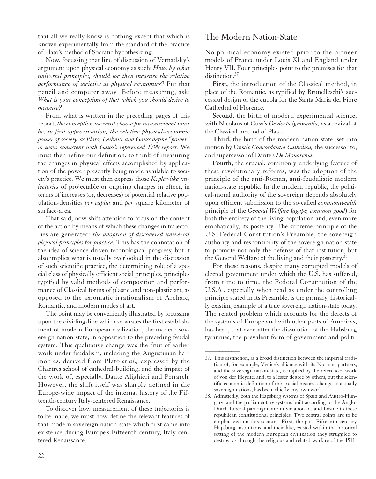that all we really know is nothing except that which is known experimentally from the standard of the practice of Plato's method of Socratic hypothesizing.

Now, focussing that line of discussion of Vernadsky's argument upon physical economy as such: *How, by what universal principles, should we then measure the relative performance of societies as physical economies?* Put that pencil and computer away! Before measuring, ask: *What is your conception of that which you should desire to measure?*

From what is written in the preceding pages of this report, *the conception we must choose for measurement must be, in first approximation, the relative physical-economic power of society, as Plato, Leibniz, and Gauss define "power" in ways consistent with Gauss's referenced 1799 report.* We must then refine our definition, to think of measuring the changes in physical effects accomplished by application of the power presently being made available to society's practice. We must then express those *Kepler-like trajectories* of projectable or ongoing changes in effect, in terms of increases (or, decreases) of potential relative population-densities *per capita* and *per* square kilometer of surface-area.

That said, now shift attention to focus on the content of the action by means of which these changes in trajectories are generated: *the adoption of discovered universal physical principles for practice.* This has the connotation of the idea of science-driven technological progress; but it also implies what is usually overlooked in the discussion of such scientific practice, the determining role of a special class of physically efficient social principles, principles typified by valid methods of composition and performance of Classical forms of plastic and non-plastic art, as opposed to the axiomatic irrationalism of Archaic, Romantic, and modern modes of art.

The point may be conveniently illustrated by focussing upon the dividing-line which separates the first establishment of modern European civilization, the modern sovereign nation-state, in opposition to the preceding feudal system. This qualitative change was the fruit of earlier work under feudalism, including the Augustinian harmonics, derived from Plato *et al.,* expressed by the Chartres school of cathedral-building, and the impact of the work of, especially, Dante Alighieri and Petrarch. However, the shift itself was sharply defined in the Europe-wide impact of the internal history of the Fifteenth-century Italy-centered Renaissance.

To discover how measurement of these trajectories is to be made, we must now define the relevant features of that modern sovereign nation-state which first came into existence during Europe's Fifteenth-century, Italy-centered Renaissance.

#### The Modern Nation-State

No political-economy existed prior to the pioneer models of France under Louis XI and England under Henry VII. Four principles point to the premises for that distinction.<sup>37</sup>

**First,** the introduction of the Classical method, in place of the Romantic, as typified by Brunelleschi's successful design of the cupola for the Santa Maria del Fiore Cathedral of Florence.

**Second,** the birth of modern experimental science, with Nicolaus of Cusa's *De docta ignorantia,* as a revival of the Classical method of Plato.

**Third,** the birth of the modern nation-state, set into motion by Cusa's *Concordantia Catholica,* the successor to, and supercessor of Dante's *De Monarchia.*

**Fourth,** the crucial, commonly underlying feature of these revolutionary reforms, was the adoption of the principle of the anti-Roman, anti-feudalistic modern nation-state republic. In the modern republic, the political-moral authority of the sovereign depends absolutely upon efficient submission to the so-called *commonwealth* principle of the *General Welfare* (*agapē*, *common good*) for both the entirety of the living population and, even more emphatically, its posterity. The supreme principle of the U.S. Federal Constitution's Preamble, the sovereign authority and responsibility of the sovereign nation-state to promote not only the defense of that institution, but the General Welfare of the living and their posterity.<sup>38</sup>

For these reasons, despite many corrupted models of elected government under which the U.S. has suffered, from time to time, the Federal Constitution of the U.S.A., especially when read as under the controlling principle stated in its Preamble, is the primary, historically existing example of a true sovereign nation-state today. The related problem which accounts for the defects of the systems of Europe and with other parts of Americas, has been, that even after the dissolution of the Habsburg tyrannies, the prevalent form of government and politi-

<sup>37.</sup> This distinction, as a broad distinction between the imperial tradition of, for example, Venice's alliance with its Norman partners, and the sovereign nation-state, is implied by the referenced work of von der Heydte, and, to a lesser degree by others, but the scientific economic definition of the crucial historic change to actually sovereign nations, has been, chiefly, my own work.

<sup>38.</sup> Admittedly, both the Hapsburg systems of Spain and Austro-Hungary, and the parliamentary systems built according to the Anglo-Dutch Liberal paradigm, are in violation of, and hostile to these republican constitutional principles. Two central points are to be emphasized on this account. First, the post-Fifteenth-century Hapsburg institutions, and their like, existed within the historical setting of the modern European civilization they struggled to destroy, as through the religious and related warfare of the 1511-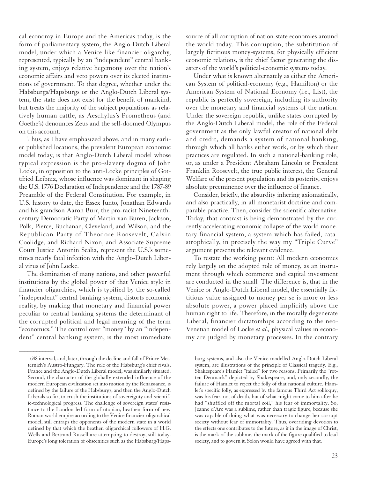cal-economy in Europe and the Americas today, is the form of parliamentary system, the Anglo-Dutch Liberal model, under which a Venice-like financier oligarchy, represented, typically by an "independent" central banking system, enjoys relative hegemony over the nation's economic affairs and veto powers over its elected institutions of government. To that degree, whether under the Habsburgs/Hapsburgs or the Anglo-Dutch Liberal system, the state does not exist for the benefit of mankind, but treats the majority of the subject populations as relatively human cattle, as Aeschylus's Prometheus (and Goethe's) denounces Zeus and the self-doomed Olympus on this account.

Thus, as I have emphasized above, and in many earlier published locations, the prevalent European economic model today, is that Anglo-Dutch Liberal model whose typical expression is the pro-slavery dogma of John Locke, in opposition to the anti-Locke principles of Gottfried Leibniz, whose influence was dominant in shaping the U.S. 1776 Declaration of Independence and the 1787-89 Preamble of the Federal Constitution. For example, in U.S. history to date, the Essex Junto, Jonathan Edwards and his grandson Aaron Burr, the pro-racist Nineteenthcentury Democratic Party of Martin van Buren, Jackson, Polk, Pierce, Buchanan, Cleveland, and Wilson, and the Republican Party of Theodore Roosevelt, Calvin Coolidge, and Richard Nixon, and Associate Supreme Court Justice Antonin Scalia, represent the U.S.'s sometimes nearly fatal infection with the Anglo-Dutch Liberal virus of John Locke.

The domination of many nations, and other powerful institutions by the global power of that Venice style in financier oligarchies, which is typified by the so-called "independent" central banking system, distorts economic reality, by making that monetary and financial power peculiar to central banking systems the determinant of the corrupted political and legal meaning of the term "economics." The control over "money" by an "independent" central banking system, is the most immediate

*\_\_\_\_\_\_\_\_\_\_\_\_*

source of all corruption of nation-state economies around the world today. This corruption, the substitution of largely fictitious money-systems, for physically efficient economic relations, is the chief factor generating the disasters of the world's political-economic systems today.

Under what is known alternately as either the American System of political-economy (e.g., Hamilton) or the American System of National Economy (i.e., List), the republic is perfectly sovereign, including its authority over the monetary and financial systems of the nation. Under the sovereign republic, unlike states corrupted by the Anglo-Dutch Liberal model, the role of the Federal government as the only lawful creator of national debt and credit, demands a system of national banking, through which all banks either work, or by which their practices are regulated. In such a national-banking role, or, as under a President Abraham Lincoln or President Franklin Roosevelt, the true public interest, the General Welfare of the present population and its posterity, enjoys absolute preeminence over the influence of finance.

Consider, briefly, the absurdity inhering axiomatically, and also practically, in all monetarist doctrine and comparable practice. Then, consider the scientific alternative. Today, that contrast is being demonstrated by the currently accelerating economic collapse of the world monetary-financial system, a system which has failed, catastrophically, in precisely the way my "Triple Curve" argument presents the relevant evidence.

To restate the working point: All modern economies rely largely on the adopted role of money, as an instrument through which commerce and capital investment are conducted in the small. The difference is, that in the Venice or Anglo-Dutch Liberal model, the essentially fictitious value assigned to money per se is more or less absolute power, a power placed implicitly above the human right to life. Therefore, in the morally degenerate Liberal, financier dictatorships according to the neo-Venetian model of Locke *et al.,* physical values in economy are judged by monetary processes. In the contrary

<sup>1648</sup> interval, and, later, through the decline and fall of Prince Metternich's Austro-Hungary. The role of the Habsburg's chief rivals, France and the Anglo-Dutch Liberal model, was similarly situated. Second, the character of the globally extended influence of the modern European civilization set into motion by the Renaissance, is defined by the failure of the Habsburgs, and then the Anglo-Dutch Liberals so far, to crush the institutions of sovereignty and scientific-technological progress. The challenge of sovereign states' resistance to the London-led form of utopian, heathen form of new Roman world empire according to the Venice financier-oligarchical model, still entraps the opponents of the modern state in a world defined by that which the heathen oligarchical followers of H.G. Wells and Bertrand Russell are attempting to destroy, still today. Europe's long toleration of obscenities such as the Habsburg/Haps-

burg systems, and also the Venice-modelled Anglo-Dutch Liberal system, are illustrations of the principle of Classical tragedy. E.g., Shakespeare's Hamlet "failed" for two reasons. Primarily the "rotten Denmark" depicted by Shakespeare, and, only secondly, the failure of Hamlet to reject the folly of that national culture. Hamlet's specific folly, as expressed by the famous Third Act soliloquy, was his fear, not of death, but of what might come to him after he had "shuffled off the mortal coil," his fear of immortality. So, Jeanne d'Arc was a sublime, rather than tragic figure, because she was capable of doing what was necessary to change her corrupt society without fear of immortality. Thus, overriding devotion to the effects one contributes to the future, as if in the image of Christ, is the mark of the sublime, the mark of the figure qualified to lead society, and to govern it. Solon would have agreed with that.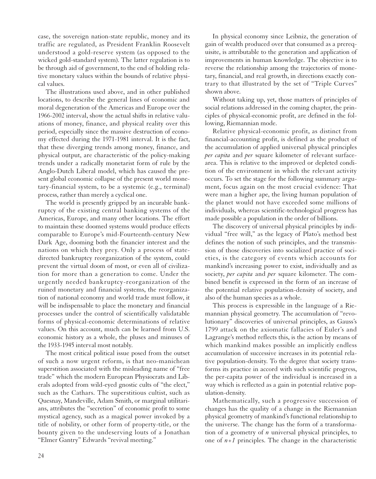case, the sovereign nation-state republic, money and its traffic are regulated, as President Franklin Roosevelt understood a gold-reserve system (as opposed to the wicked gold-standard system). The latter regulation is to be through aid of government, to the end of holding relative monetary values within the bounds of relative physical values.

The illustrations used above, and in other published locations, to describe the general lines of economic and moral degeneration of the Americas and Europe over the 1966-2002 interval, show the actual shifts in relative valuations of money, finance, and physical reality over this period, especially since the massive destruction of economy effected during the 1971-1981 interval. It is the fact, that these diverging trends among money, finance, and physical output, are characteristic of the policy-making trends under a radically monetarist form of rule by the Anglo-Dutch Liberal model, which has caused the present global economic collapse of the present world monetary-financial system, to be a systemic (e.g., terminal) process, rather than merely a cyclical one.

The world is presently gripped by an incurable bankruptcy of the existing central banking systems of the Americas, Europe, and many other locations. The effort to maintain these doomed systems would produce effects comparable to Europe's mid-Fourteenth-century New Dark Age, dooming both the financier interest and the nations on which they prey. Only a process of statedirected bankruptcy reorganization of the system, could prevent the virtual doom of most, or even all of civilization for more than a generation to come. Under the urgently needed bankruptcy-reorganization of the ruined monetary and financial systems, the reorganization of national economy and world trade must follow, it will be indispensable to place the monetary and financial processes under the control of scientifically validatable forms of physical-economic determinations of relative values. On this account, much can be learned from U.S. economic history as a whole, the pluses and minuses of the 1933-1945 interval most notably.

The most critical political issue posed from the outset of such a now urgent reform, is that neo-manichean superstition associated with the misleading name of "free trade" which the modern European Physiocrats and Liberals adopted from wild-eyed gnostic cults of "the elect," such as the Cathars. The superstitious cultist, such as Quesnay, Mandeville, Adam Smith, or marginal utilitarians, attributes the "secretion" of economic profit to some mystical agency, such as a magical power invoked by a title of nobility, or other form of property-title, or the bounty given to the undeserving louts of a Jonathan "Elmer Gantry" Edwards "revival meeting."

In physical economy since Leibniz, the generation of gain of wealth produced over that consumed as a prerequisite, is attributable to the generation and application of improvements in human knowledge. The objective is to reverse the relationship among the trajectories of monetary, financial, and real growth, in directions exactly contrary to that illustrated by the set of "Triple Curves" shown above.

Without taking up, yet, those matters of principles of social relations addressed in the coming chapter, the principles of physical-economic profit, are defined in the following, Riemannian mode.

Relative physical-economic profit, as distinct from financial-accounting profit, is defined as the product of the accumulation of applied universal physical principles *per capita* and *per* square kilometer of relevant surfacearea. This is relative to the improved or depleted condition of the environment in which the relevant activity occurs. To set the stage for the following summary argument, focus again on the most crucial evidence: That were man a higher ape, the living human population of the planet would not have exceeded some millions of individuals, whereas scientific-technological progress has made possible a population in the order of billions.

The discovery of universal physical principles by individual "free will," as the legacy of Plato's method best defines the notion of such principles, and the transmission of those discoveries into socialized practice of societies, is the category of events which accounts for mankind's increasing power to exist, individually and as society, *per capita* and *per* square kilometer. The combined benefit is expressed in the form of an increase of the potential relative population-density of society, and also of the human species as a whole.

This process is expressible in the language of a Riemannian physical geometry. The accumulation of "revolutionary" discoveries of universal principles, as Gauss's 1799 attack on the axiomatic fallacies of Euler's and Lagrange's method reflects this, is the action by means of which mankind makes possible an implicitly endless accumulation of successive increases in its potential relative population-density. To the degree that society transforms its practice in accord with such scientific progress, the per-capita power of the individual is increased in a way which is reflected as a gain in potential relative population-density.

Mathematically, such a progressive succession of changes has the quality of a change in the Riemannian physical geometry of mankind's functional relationship to the universe. The change has the form of a transformation of a geometry of *n* universal physical principles, to one of  $n+1$  principles. The change in the characteristic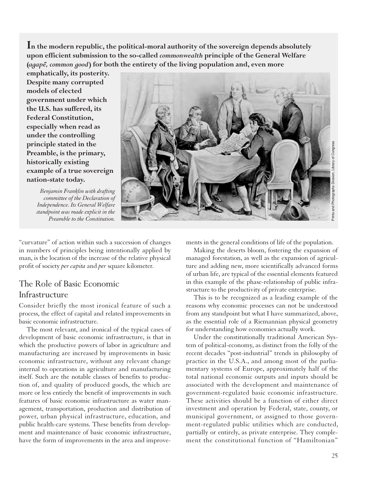**In the modern republic, the political-moral authority of the sovereign depends absolutely upon efficient submission to the so-called** *commonwealth* **principle of the General Welfare (***agape¯, common good***) for both the entirety of the living population and, even more**

**emphatically, its posterity. Despite many corrupted models of elected government under which the U.S. has suffered, its Federal Constitution, especially when read as under the controlling principle stated in the Preamble, is the primary, historically existing example of a true sovereign nation-state today.** 

*Benjamin Franklin with drafting committee of the Declaration of Independence. Its General Welfare standpoint was made explicit in the Preamble to the Constitution.*



"curvature" of action within such a succession of changes in numbers of principles being intentionally applied by man, is the location of the increase of the relative physical profit of society *per capita* and *per* square kilometer.

#### The Role of Basic Economic Infrastructure

Consider briefly the most ironical feature of such a process, the effect of capital and related improvements in basic economic infrastructure.

The most relevant, and ironical of the typical cases of development of basic economic infrastructure, is that in which the productive powers of labor in agriculture and manufacturing are increased by improvements in basic economic infrastructure, without any relevant change internal to operations in agriculture and manufacturing itself. Such are the notable classes of benefits to production of, and quality of produced goods, the which are more or less entirely the benefit of improvements in such features of basic economic infrastructure as water management, transportation, production and distribution of power, urban physical infrastructure, education, and public health-care systems. These benefits from development and maintenance of basic economic infrastructure, have the form of improvements in the area and improvements in the general conditions of life of the population.

Making the deserts bloom, fostering the expansion of managed forestation, as well as the expansion of agriculture and adding new, more scientifically advanced forms of urban life, are typical of the essential elements featured in this example of the phase-relationship of public infrastructure to the productivity of private enterprise.

This is to be recognized as a leading example of the reasons why economic processes can not be understood from any standpoint but what I have summarized, above, as the essential role of a Riemannian physical geometry for understanding how economies actually work.

Under the constitutionally traditional American System of political-economy, as distinct from the folly of the recent decades "post-industrial" trends in philosophy of practice in the U.S.A., and among most of the parliamentary systems of Europe, approximately half of the total national economic outputs and inputs should be associated with the development and maintenance of government-regulated basic economic infrastructure. These activities should be a function of either direct investment and operation by Federal, state, county, or municipal government, or assigned to those government-regulated public utilities which are conducted, partially or entirely, as private enterprise. They complement the constitutional function of "Hamiltonian"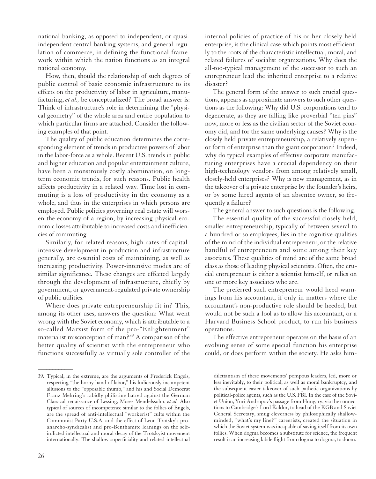national banking, as opposed to independent, or quasiindependent central banking systems, and general regulation of commerce, in defining the functional framework within which the nation functions as an integral national economy.

How, then, should the relationship of such degrees of public control of basic economic infrastructure to its effects on the productivity of labor in agriculture, manufacturing, *et al.*, be conceptualized? The broad answer is: Think of infrastructure's role in determining the "physical geometry" of the whole area and entire population to which particular firms are attached. Consider the following examples of that point.

The quality of public education determines the corresponding element of trends in productive powers of labor in the labor-force as a whole. Recent U.S. trends in public and higher education and popular entertainment culture, have been a monstrously costly abomination, on longterm economic trends, for such reasons. Public health affects productivity in a related way. Time lost in commuting is a loss of productivity in the economy as a whole, and thus in the enterprises in which persons are employed. Public policies governing real estate will worsen the economy of a region, by increasing physical-economic losses attributable to increased costs and inefficiencies of commuting.

Similarly, for related reasons, high rates of capitalintensive development in production and infrastructure generally, are essential costs of maintaining, as well as increasing productivity. Power-intensive modes are of similar significance. These changes are effected largely through the development of infrastructure, chiefly by government, or government-regulated private ownership of public utilities.

Where does private entrepreneurship fit in? This, among its other uses, answers the question: What went wrong with the Soviet economy, which is attributable to a so-called Marxist form of the pro-"Enlightenment" materialist misconception of man?39 A comparison of the better quality of scientist with the entrepreneur who functions successfully as virtually sole controller of the

26

*\_\_\_\_\_\_\_\_\_\_\_\_*

internal policies of practice of his or her closely held enterprise, is the clinical case which points most efficiently to the roots of the characteristic intellectual, moral, and related failures of socialist organizations. Why does the all-too-typical management of the successor to such an entrepreneur lead the inherited enterprise to a relative disaster?

The general form of the answer to such crucial questions, appears as approximate answers to such other questions as the following: Why did U.S. corporations tend to degenerate, as they are falling like proverbial "ten pins" now, more or less as the civilian sector of the Soviet economy did, and for the same underlying causes? Why is the closely held private entrepreneurship, a relatively superior form of enterprise than the giant corporation? Indeed, why do typical examples of effective corporate manufacturing enterprises have a crucial dependency on their high-technology vendors from among relatively small, closely-held enterprises? Why is new management, as in the takeover of a private enterprise by the founder's heirs, or by some hired agents of an absentee owner, so frequently a failure?

The general answer to such questions is the following.

The essential quality of the successful closely held, smaller entrepreneurship, typically of between several to a hundred or so employees, lies in the cognitive qualities of the mind of the individual entrepreneur, or the relative handful of entrepreneurs and some among their key associates. These qualities of mind are of the same broad class as those of leading physical scientists. Often, the crucial entrepreneur is either a scientist himself, or relies on one or more key associates who are.

The preferred such entrepreneur would heed warnings from his accountant, if only in matters where the accountant's non-productive role should be heeded, but would not be such a fool as to allow his accountant, or a Harvard Business School product, to run his business operations.

The effective entrepreneur operates on the basis of an evolving sense of some special function his enterprise could, or does perform within the society. He asks him-

<sup>39.</sup> Typical, in the extreme, are the arguments of Frederick Engels, respecting "the horny hand of labor," his ludicrously incompetent allusions to the "opposable thumb," and his and Social Democrat Franz Mehring's rabidly philistine hatred against the German Classical renaissance of Lessing, Moses Mendelssohn, *et al.* Also typical of sources of incompetence similar to the follies of Engels, are the spread of anti-intellectual "workerist" cults within the Communist Party U.S.A. and the effect of Leon Trotsky's proanarcho-syndicalist and pro-Benthamite leanings on the selfinflicted intellectual and moral decay of the Trotskyist movement internationally. The shallow superficiality and related intellectual

dilettantism of these movements' pompous leaders, led, more or less inevitably, to their political, as well as moral bankruptcy, and the subsequent easier takeover of such pathetic organizations by political-police agents, such as the U.S. FBI. In the case of the Soviet Union, Yuri Andropov's passage from Hungary, via the connections to Cambridge's Lord Kaldor, to head of the KGB and Soviet General Secretary, smug cleverness by philosophically shallowminded, "what's my line?" careerists, created the situation in which the Soviet system was incapable of saving itself from its own follies. When dogma becomes a substitute for science, the frequent result is an increasing labile flight from dogma to dogma, to doom.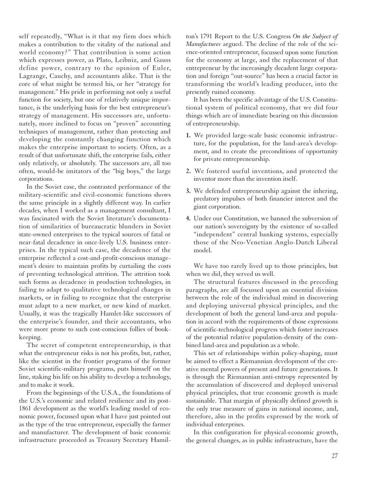self repeatedly, "What is it that my firm does which makes a contribution to the vitality of the national and world economy?" That contribution is some action which expresses power, as Plato, Leibniz, and Gauss define power, contrary to the opinion of Euler, Lagrange, Cauchy, and accountants alike. That is the core of what might be termed his, or her "strategy for management." His pride in performing not only a useful function for society, but one of relatively unique importance, is the underlying basis for the best entrepreneur's strategy of management. His successors are, unfortunately, more inclined to focus on "proven" accounting techniques of management, rather than protecting and developing the constantly changing function which makes the enterprise important to society. Often, as a result of that unfortunate shift, the enterprise fails, either only relatively, or absolutely. The successors are, all too often, would-be imitators of the "big boys," the large corporations.

In the Soviet case, the contrasted performance of the military-scientific and civil-economic functions shows the same principle in a slightly different way. In earlier decades, when I worked as a management consultant, I was fascinated with the Soviet literature's documentation of similarities of bureaucratic blunders in Soviet state-owned enterprises to the typical sources of fatal or near-fatal decadence in once-lively U.S. business enterprises. In the typical such case, the decadence of the enterprise reflected a cost-and-profit-conscious management's desire to maintain profits by curtailing the costs of preventing technological attrition. The attrition took such forms as decadence in production technologies, in failing to adapt to qualitative technological changes in markets, or in failing to recognize that the enterprise must adapt to a new market, or new kind of market. Usually, it was the tragically Hamlet-like successors of the enterprise's founder, and their accountants, who were more prone to such cost-conscious follies of bookkeeping.

The secret of competent entrepreneurship, is that what the entrepreneur risks is not his profits, but, rather, like the scientist in the frontier programs of the former Soviet scientific-military programs, puts himself on the line, staking his life on his ability to develop a technology, and to make it work.

From the beginnings of the U.S.A., the foundations of the U.S.'s economic and related resilience and its post-1861 development as the world's leading model of economic power, focussed upon what I have just pointed out as the type of the true entrepreneur, especially the farmer and manufacturer. The development of basic economic infrastructure proceeded as Treasury Secretary Hamilton's 1791 Report to the U.S. Congress *On the Subject of Manufactures* argued. The decline of the role of the science-oriented entrepreneur, focussed upon some function for the economy at large, and the replacement of that entrepreneur by the increasingly decadent large corporation and foreign "out-source" has been a crucial factor in transforming the world's leading producer, into the presently ruined economy.

It has been the specific advantage of the U.S. Constitutional system of political economy, that we did four things which are of immediate bearing on this discussion of entrepreneurship.

- **1.** We provided large-scale basic economic infrastructure, for the population, for the land-area's development, and to create the preconditions of opportunity for private entrepreneurship.
- **2.** We fostered useful inventions, and protected the inventor more than the invention itself.
- **3.** We defended entrepreneurship against the inhering, predatory impulses of both financier interest and the giant corporation.
- **4.** Under our Constitution, we banned the subversion of our nation's sovereignty by the existence of so-called "independent" central banking systems, especially those of the Neo-Venetian Anglo-Dutch Liberal model.

We have too rarely lived up to those principles, but when we did, they served us well.

The structural features discussed in the preceding paragraphs, are all focussed upon an essential division between the role of the individual mind in discovering and deploying universal physical principles, and the development of both the general land-area and population in accord with the requirements of those expressions of scientific-technological progress which foster increases of the potential relative population-density of the combined land-area and population as a whole.

This set of relationships within policy-shaping, must be aimed to effect a Riemannian development of the creative mental powers of present and future generations. It is through the Riemannian anti-entropy represented by the accumulation of discovered and deployed universal physical principles, that true economic growth is made sustainable. That margin of physically defined growth is the only true measure of gains in national income, and, therefore, also in the profits expressed by the work of individual enterprises.

In this configuration for physical-economic growth, the general changes, as in public infrastructure, have the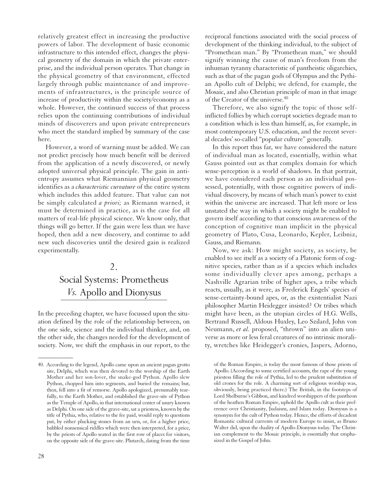relatively greatest effect in increasing the productive powers of labor. The development of basic economic infrastructure to this intended effect, changes the physical geometry of the domain in which the private enterprise, and the individual person operates. That change in the physical geometry of that environment, effected largely through public maintenance of and improvements of infrastructures, is the principle source of increase of productivity within the society/economy as a whole. However, the continued success of that process relies upon the continuing contributions of individual minds of discoverers and upon private entrepreneurs who meet the standard implied by summary of the case here.

However, a word of warning must be added. We can not predict precisely how much benefit will be derived from the application of a newly discovered, or newly adopted universal physical principle. The gain in antientropy assumes what Riemannian physical geometry identifies as a *characteristic curvature* of the entire system which includes this added feature. That value can not be simply calculated *a priori;* as Riemann warned, it must be determined in practice, as is the case for all matters of real-life physical science. We know only, that things will go better. If the gain were less than we have hoped, then add a new discovery, and continue to add new such discoveries until the desired gain is realized experimentally.

#### $\mathfrak{D}_{\alpha}$ Social Systems: Prometheus *Vs.* Apollo and Dionysus

In the preceding chapter, we have focussed upon the situation defined by the role of the relationship between, on the one side, science and the individual thinker, and, on the other side, the changes needed for the development of society. Now, we shift the emphasis in our report, to the

reciprocal functions associated with the social process of development of the thinking individual, to the subject of "Promethean man." By "Promethean man," we should signify winning the cause of man's freedom from the inhuman tyranny characteristic of pantheistic oligarchies, such as that of the pagan gods of Olympus and the Pythian Apollo cult of Delphi; we defend, for example, the Mosaic, and also Christian principle of man in that image of the Creator of the universe.<sup>40</sup>

Therefore, we also signify the topic of those selfinflicted follies by which corrupt societies degrade man to a condition which is less than himself, as, for example, in most contemporary U.S. education, and the recent several decades' so-called "popular culture" generally.

In this report thus far, we have considered the nature of individual man as located, essentially, within what Gauss pointed out as that complex domain for which sense-perception is a world of shadows. In that portrait, we have considered each person as an individual possessed, potentially, with those cognitive powers of individual discovery, by means of which man's power to exist within the universe are increased. That left more or less unstated the way in which a society might be enabled to govern itself according to that conscious awareness of the conception of cognitive man implicit in the physical geometry of Plato, Cusa, Leonardo, Kepler, Leibniz, Gauss, and Riemann.

Now, we ask: How might society, as society, be enabled to see itself as a society of a Platonic form of cognitive species, rather than as if a species which includes some individually clever apes among, perhaps a Nashville Agrarian tribe of higher apes, a tribe which reacts, usually, as it were, as Frederick Engels' species of sense-certainty-bound apes, or, as the existentialist Nazi philosopher Martin Heidegger insisted? Or tribes which might have been, as the utopian circles of H.G. Wells, Bertrand Russell, Aldous Huxley, Leo Szilard, John von Neumann, *et al.* proposed, "thrown" into an alien universe as more or less feral creatures of no intrinsic morality, wretches like Heidegger's cronies, Jaspers, Adorno,

<sup>40.</sup> According to the legend, Apollo came upon an ancient pagan grotto site, Delphi, which was then devoted to the worship of the Earth Mother and her son-lover, the snake-god Python. Apollo slew Python, chopped him into segments, and buried the remains; but, then, fell into a fit of remorse. Apollo apologized, presumably tearfully, to the Earth Mother, and established the grave-site of Python as the Temple of Apollo, in that international center of usury known as Delphi. On one side of the grave-site, sat a priestess, known by the title of Pythia, who, relative to the fee paid, would reply to questions put, by either plucking stones from an urn, or, for a higher price, babbled nonsensical riddles which were then interpreted, for a price, by the priests of Apollo seated in the first row of places for visitors, on the opposite side of the grave-site. Plutarch, dating from the time

of the Roman Empire, is today the most famous of those priests of Apollo. (According to some certified accounts, the rape of the young priestess filling the role of Pythia, led to the prudent substitution of old crones for the role. A charming sort of religious worship was, obviously, being practiced there.) The British, in the footsteps of Lord Shelburne's Gibbon, and kindred worshippers of the pantheon of the heathen Roman Empire, uphold the Apollo cult as their preference over Christianity, Judaism, and Islam today. Dionysus is a synonym for the cult of Python today. Hence, the efforts of decadent Romantic cultural currents of modern Europe to insist, as Bruno Walter did, upon the duality of Apollo-Dionysus today. The Christian complement to the Mosaic principle, is essentially that emphasized in the Gospel of John.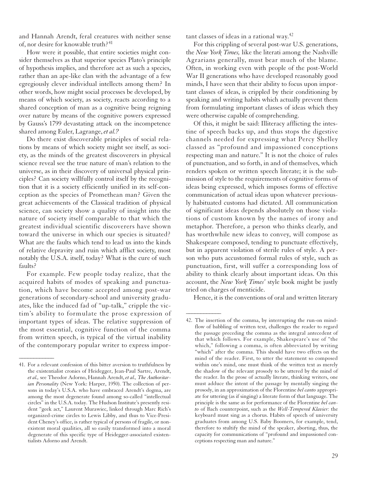and Hannah Arendt, feral creatures with neither sense of, nor desire for knowable truth?<sup>41</sup>

How were it possible, that entire societies might consider themselves as that superior species Plato's principle of hypothesis implies, and therefore act as such a species, rather than an ape-like clan with the advantage of a few egregiously clever individual intellects among them? In other words, how might social processes be developed, by means of which society, as society, reacts according to a shared conception of man as a cognitive being reigning over nature by means of the cognitive powers expressed by Gauss's 1799 devastating attack on the incompetence shared among Euler, Lagrange, *et al.?*

Do there exist discoverable principles of social relations by means of which society might see itself, as society, as the minds of the greatest discoverers in physical science reveal see the true nature of man's relation to the universe, as in their discovery of universal physical principles? Can society willfully control itself by the recognition that it is a society efficiently unified in its self-conception as the species of Promethean man? Given the great achievements of the Classical tradition of physical science, can society show a quality of insight into the nature of society itself comparable to that which the greatest individual scientific discoverers have shown toward the universe in which our species is situated? What are the faults which tend to lead us into the kinds of relative depravity and ruin which afflict society, most notably the U.S.A. itself, today? What is the cure of such faults?

For example. Few people today realize, that the acquired habits of modes of speaking and punctuation, which have become accepted among post-war generations of secondary-school and university graduates, like the induced fad of "up-talk," cripple the victim's ability to formulate the prose expression of important types of ideas. The relative suppression of the most essential, cognitive function of the comma from written speech, is typical of the virtual inability of the contemporary popular writer to express impor-

*\_\_\_\_\_\_\_\_\_\_\_\_*

tant classes of ideas in a rational way.42

For this crippling of several post-war U.S. generations, the *New York Times,* like the literati among the Nashville Agrarians generally, must bear much of the blame. Often, in working even with people of the post-World War II generations who have developed reasonably good minds, I have seen that their ability to focus upon important classes of ideas, is crippled by their conditioning by speaking and writing habits which actually prevent them from formulating important classes of ideas which they were otherwise capable of comprehending.

Of this, it might be said: Illiteracy afflicting the intestine of speech backs up, and thus stops the digestive channels needed for expressing what Percy Shelley classed as "profound and impassioned conceptions respecting man and nature." It is not the choice of rules of punctuation, and so forth, in and of themselves, which renders spoken or written speech literate; it is the submission of style to the requirements of cognitive forms of ideas being expressed, which imposes forms of effective communication of actual ideas upon whatever previously habituated customs had dictated. All communication of significant ideas depends absolutely on those violations of custom known by the names of irony and metaphor. Therefore, a person who thinks clearly, and has worthwhile new ideas to convey, will compose as Shakespeare composed, tending to punctuate effectively, but in apparent violation of sterile rules of style. A person who puts accustomed formal rules of style, such as punctuation, first, will suffer a corresponding loss of ability to think clearly about important ideas. On this account, the *New York Times'* style book might be justly tried on charges of menticide.

Hence, it is the conventions of oral and written literary

<sup>41.</sup> For a relevant confession of this bitter aversion to truthfulness by the existentialist cronies of Heidegger, Jean-Paul Sartre, Arendt, *et al.,* see Theodor Adorno, Hannah Arendt, *et al., The Authoritarian Personality* (New York: Harper, 1950). The collection of persons in today's U.S.A. who have embraced Arendt's dogma, are among the most degenerate found among so-called "intellectual circles" in the U.S.A. today. The Hudson Institute's presently resident "geek act," Laurent Murawiec, linked through Marc Rich's organized-crime circles to Lewis Libby, and thus to Vice-President Cheney's office, is rather typical of persons of fragile, or nonexistent moral qualities, all so easily transformed into a moral degenerate of this specific type of Heidegger-associated existentialists Adorno and Arendt.

<sup>42.</sup> The insertion of the comma, by interrupting the run-on mindflow of babbling of written text, challenges the reader to regard the passage preceding the comma as the integral antecedent of that which follows. For example, Shakespeare's use of "the which," following a comma, is often abbreviated by writing "which" after the comma. This should have two effects on the mind of the reader. First, to utter the statement so composed within one's mind, one must think of the written text as merely the shadow of the relevant prosody to be uttered by the mind of the reader. In the prose of actually literate, thinking writers, one must adduce the intent of the passage by mentally singing the prosody, in an approximation of the Florentine *bel canto* appropriate for uttering (as if singing) a literate form of that language. The principle is the same as for performance of the Florentine *bel canto* of Bach counterpoint, such as the *Well-Tempered Klavier:* the keyboard must sing as a chorus. Habits of speech of university graduates from among U.S. Baby Boomers, for example, tend, therefore to stultify the mind of the speaker, aborting, thus, the capacity for communications of "profound and impassioned conceptions respecting man and nature."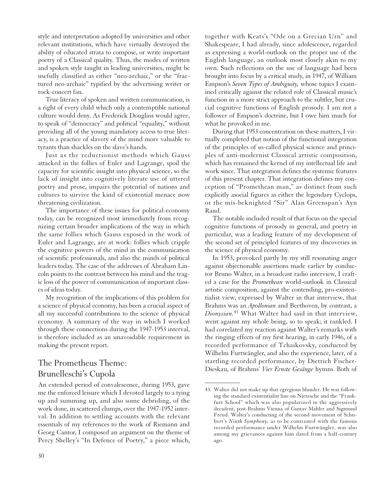style and interpretation adopted by universities and other relevant institutions, which have virtually destroyed the ability of educated strata to compose, or write important poetry of a Classical quality. Thus, the modes of written and spoken style taught in leading universities, might be usefully classified as either "neo-archaic," or the "fractured neo-archaic" typified by the advertising writer or rock-concert fan.

True literacy of spoken and written communication, is a right of every child which only a contemptible national culture would deny. As Frederick Douglass would agree, to speak of "democracy" and political "equality," without providing all of the young mandatory access to true literacy, is a practice of slavery of the mind more valuable to tyrants than shackles on the slave's hands.

Just as the reductionist methods which Gauss attacked in the follies of Euler and Lagrange, spoil the capacity for scientific insight into physical science, so the lack of insight into cognitively literate use of uttered poetry and prose, impairs the potential of nations and cultures to survive the kind of existential menace now threatening civilization.

The importance of these issues for political-economy today, can be recognized most immediately from recognizing certain broader implications of the way in which the same follies which Gauss exposed in the work of Euler and Lagrange, are at work: follies which cripple the cognitive powers of the mind in the communication of scientific professionals, and also the minds of political leaders today. The case of the addresses of Abraham Lincoln points to the contrast between his mind and the tragic loss of the power of communication of important classes of ideas today.

My recognition of the implications of this problem for a science of physical economy, has been a crucial aspect of all my successful contributions to the science of physical economy. A summary of the way in which I worked through these connections during the 1947-1953 interval, is therefore included as an unavoidable requirement in making the present report.

#### The Prometheus Theme: Brunelleschi's Cupola

An extended period of convalescence, during 1953, gave me the enforced leisure which I devoted largely to a tying up and summing up, and also some debriding, of the work done, in scattered clumps, over the 1947-1952 interval. In addition to settling accounts with the relevant essentials of my references to the work of Riemann and Georg Cantor, I composed an argument on the theme of Percy Shelley's "In Defence of Poetry," a piece which,

together with Keats's "Ode on a Grecian Urn" and Shakespeare, I had already, since adolescence, regarded as expressing a world-outlook on the proper use of the English language, an outlook most closely akin to my own. Such reflections on the use of language had been brought into focus by a critical study, in 1947, of William Empson's *Seven Types of Ambiguity,* whose topics I examined critically against the related role of Classical music's function in a more strict approach to the subtler, but crucial cognitive functions of English prosody. I am not a follower of Empson's doctrine, but I owe him much for what he provoked in me.

During that 1953 concentration on these matters, I virtually completed that notion of the functional integration of the principles of so-called physical science and principles of anti-modernist Classical artistic composition, which has remained the kernel of my intellectual life and work since. That integration defines the systemic features of this present chapter. That integration defines my conception of "Promethean man," as distinct from such explicitly asocial figures as either the legendary Cyclops, or the mis-beknighted "Sir" Alan Greenspan's Ayn Rand.

The notable included result of that focus on the special cognitive functions of prosody in general, and poetry in particular, was a leading feature of my development of the second set of principled features of my discoveries in the science of physical economy.

In 1953, provoked partly by my still resonating anger against objectionable assertions made earlier by conductor Bruno Walter, in a broadcast radio interview, I crafted a case for the *Promethean* world-outlook in Classical artistic composition, against the contending, pro-existentialist view, expressed by Walter in that interview, that Brahms was an *Apollonian* and Beethoven, by contrast, a *Dionysian.*<sup>43</sup> What Walter had said in that interview, went against my whole being, so to speak; it rankled. I had correlated my reaction against Walter's remarks with the ringing effects of my first hearing, in early 1946, of a recorded performance of Tchaikovsky, conducted by Wilhelm Furtwängler, and also the experience, later, of a startling recorded performance, by Dietrich Fischer-Dieskau, of Brahms' *Vier Ernste Gesänge* hymns. Both of

<sup>43.</sup> Walter did not make up that egregious blunder. He was following the standard existentialist line on Nietzsche and the "Frankfurt School" which was also popularized in the aggressively decadent, post-Brahms Vienna of Gustav Mahler and Sigmund Freud. Walter's conducting of the second movement of Schubert's *Ninth Symphony,* as to be contrasted with the famous recorded performance under Wilhelm Furtwängler, was also among my grievances against him dated from a half-century ago.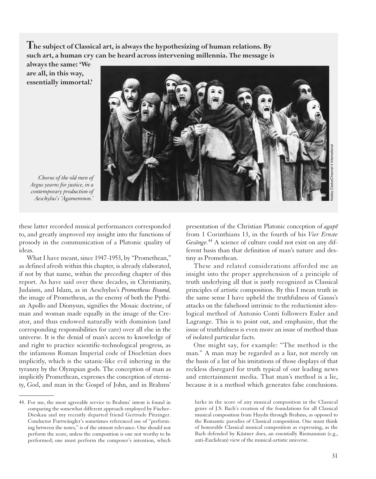**The subject of Classical art, is always the hypothesizing of human relations. By such art, a human cry can be heard across intervening millennia. The message is**

**always the same: 'We are all, in this way, essentially immortal.'**



*Chorus of the old men of Argus yearns for justice, in a contemporary production of Aeschylus's 'Agamemnon.'*

these latter recorded musical performances corresponded to, and greatly improved my insight into the functions of prosody in the communication of a Platonic quality of ideas.

What I have meant, since 1947-1953, by "Promethean," as defined afresh within this chapter, is already elaborated, if not by that name, within the preceding chapter of this report. As have said over these decades, in Christianity, Judaism, and Islam, as in Aeschylus's *Prometheus Bound,* the image of Prometheus, as the enemy of both the Pythian Apollo and Dionysus, signifies the Mosaic doctrine, of man and woman made equally in the image of the Creator, and thus endowed naturally with dominion (and corresponding responsibilities for care) over all else in the universe. It is the denial of man's access to knowledge of and right to practice scientific-technological progress, as the infamous Roman Imperial code of Diocletian does implicitly, which is the satanic-like evil inhering in the tyranny by the Olympian gods. The conception of man as implicitly Promethean, expresses the conception of eternity, God, and man in the Gospel of John, and in Brahms'

*\_\_\_\_\_\_\_\_\_\_\_\_*

presentation of the Christian Platonic conception of *agape* from 1 Corinthians 13, in the fourth of his *Vier Ernste Gesänge.*<sup>44</sup> A science of culture could not exist on any different basis than that definition of man's nature and destiny as Promethean.

These and related considerations afforded me an insight into the proper apprehension of a principle of truth underlying all that is justly recognized as Classical principles of artistic composition. By this I mean truth in the same sense I have upheld the truthfulness of Gauss's attacks on the falsehood intrinsic to the reductionist ideological method of Antonio Conti followers Euler and Lagrange. This is to point out, and emphasize, that the issue of truthfulness is even more an issue of method than of isolated particular facts.

One might say, for example: "The method is the man." A man may be regarded as a liar, not merely on the basis of a list of his imitations of those displays of that reckless disregard for truth typical of our leading news and entertainment media. That man's method is a lie, because it is a method which generates false conclusions.

<sup>44.</sup> For me, the most agreeable service to Brahms' intent is found in comparing the somewhat different approach employed by Fischer-Dieskau and my recently departed friend Gertrude Pitzinger. Conductor Furtwängler's sometimes referenced use of "performing between the notes," is of the utmost relevance. One should not perform the score, unless the composition is one not worthy to be performed; one must perform the composer's intention, which

lurks in the score of any musical composition in the Classical genre of J.S. Bach's creation of the foundations for all Classical musical composition from Haydn through Brahms, as opposed to the Romantic parodies of Classical composition. One must think of honorable Classical musical composition as expressing, as the Bach defended by Kästner does, an essentially Riemannian (e.g., anti-Euclidean) view of the musical-artistic universe.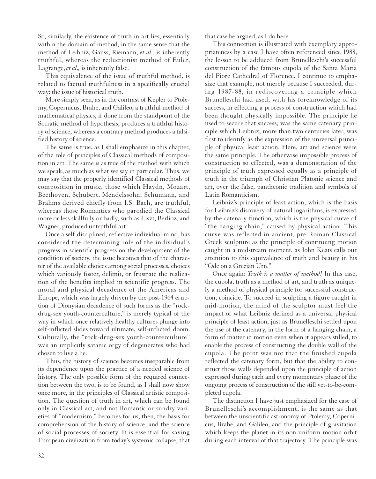So, similarly, the existence of truth in art lies, essentially within the domain of method, in the same sense that the method of Leibniz, Gauss, Riemann, *et al.,* is inherently truthful, whereas the reductionist method of Euler, Lagrange, *et al.,* is inherently false.

This equivalence of the issue of truthful method, is related to factual truthfulness in a specifically crucial way: the issue of historical truth.

More simply seen, as in the contrast of Kepler to Ptolemy, Copernicus, Brahe, and Galileo, a truthful method of mathematical physics, if done from the standpoint of the Socratic method of hypothesis, produces a truthful history of science, whereas a contrary method produces a falsified history of science.

The same is true, as I shall emphasize in this chapter, of the role of principles of Classical methods of composition in art. The same is as true of the method with which we speak, as much as what we say in particular. Thus, we may say that the properly identified Classical methods of composition in music, those which Haydn, Mozart, Beethoven, Schubert, Mendelssohn, Schumann, and Brahms derived chiefly from J.S. Bach, are truthful, whereas those Romantics who parodied the Classical more or less skillfully or badly, such as Liszt, Berlioz, and Wagner, produced untruthful art.

Once a self-disciplined, reflective individual mind, has considered the determining role of the individual's progress in scientific progress on the development of the condition of society, the issue becomes that of the character of the available choices among social processes, choices which variously foster, delimit, or frustrate the realization of the benefits implied in scientific progress. The moral and physical decadence of the Americas and Europe, which was largely driven by the post-1964 eruption of Dionysian decadence of such forms as the "rockdrug-sex youth-counterculture," is merely typical of the way in which once relatively healthy cultures plunge into self-inflicted slides toward ultimate, self-inflicted doom. Culturally, the "rock-drug-sex youth-counterculture" was an implicitly satanic orgy of degenerates who had chosen to live a lie.

Thus, the history of science becomes inseparable from its dependence upon the practice of a needed science of history. The only possible form of the required connection between the two, is to be found, as I shall now show once more, in the principles of Classical artistic composition. The question of truth in art, which can be found only in Classical art, and not Romantic or sundry varieties of "modernism," becomes for us, then, the basis for comprehension of the history of science, and the science of social processes of society. It is essential for saving European civilization from today's systemic collapse, that

that case be argued, as I do here.

This connection is illustrated with exemplary appropriateness by a case I have often referenced since 1988, the lesson to be adduced from Brunelleschi's successful construction of the famous cupola of the Santa Maria del Fiore Cathedral of Florence. I continue to emphasize that example, not merely because I succeeded, during 1987-88, in rediscovering a principle which Brunelleschi had used, with his foreknowledge of its success, in effecting a process of construction which had been thought physically impossible. The principle he used to secure that success, was the same catenary principle which Leibniz, more than two centuries later, was first to identify as the expression of the universal principle of physical least action. Here, art and science were the same principle. The otherwise impossible process of construction so effected, was a demonstration of the principle of truth expressed equally as a principle of truth in the triumph of Christian Platonic science and art, over the false, pantheonic tradition and symbols of Latin Romanticism.

Leibniz's principle of least action, which is the basis for Leibniz's discovery of natural logarithms, is expressed by the catenary function, which is the physical curve of "the hanging chain," caused by physical action. This curve was reflected in ancient, pre-Roman Classical Greek sculpture as the principle of continuing motion caught in a midstream moment, as John Keats calls our attention to this equivalence of truth and beauty in his "Ode on a Grecian Urn."

Once again: *Truth is a matter of method!* In this case, the cupola, truth as a method of art, and truth as uniquely a method of physical principle for successful construction, coincide. To succeed in sculpting a figure caught in mid-motion, the mind of the sculptor must feel the impact of what Leibniz defined as a universal physical principle of least action, just as Brunelleschi settled upon the use of the catenary, in the form of a hanging chain, a form of matter in motion even when it appears stilled, to enable the process of constructing the double wall of the cupola. The point was not that the finished cupola reflected the catenary form, but that the ability to construct those walls depended upon the principle of action expressed during each and every momentary phase of the ongoing process of construction of the still yet-to-be-completed cupola.

The distinction I have just emphasized for the case of Brunelleschi's accomplishment, is the same as that between the unscientific astronomy of Ptolemy, Copernicus, Brahe, and Galileo, and the principle of gravitation which keeps the planet in its non-uniform-motion orbit during each interval of that trajectory. The principle was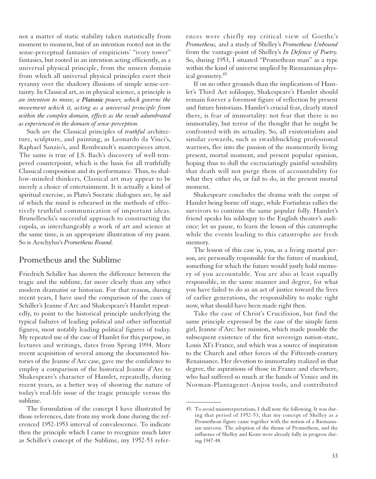not a matter of static stability taken statistically from moment to moment, but of an intention rooted not in the sense-perceptual fantasies of empiricists' "ivory tower" fantasies, but rooted in an intention acting efficiently, as a universal physical principle, from the unseen domain from which all universal physical principles exert their tyranny over the shadowy illusions of simple sense-certainty. In Classical art, as in physical science, a principle is *an intention to move, a Platonic power, which governs the movement which it, acting as a universal principle from within the complex domain, effects as the result adumbrated as experienced in the domain of sense-perception.*

Such are the Classical principles of *truthful* architecture, sculpture, and painting, as Leonardo da Vinci's, Raphael Sanzio's, and Rembrandt's masterpieces attest. The same is true of J.S. Bach's discovery of well-tempered counterpoint, which is the basis for all truthfully Classical composition and its performance. Thus, to shallow-minded thinkers, Classical art may appear to be merely a choice of entertainment. It is actually a kind of spiritual exercise, as Plato's Socratic dialogues are, by aid of which the mind is rehearsed in the methods of effectively truthful communication of important ideas. Brunelleschi's successful approach to constructing the cupola, as interchangeably a work of art and science at the same time, is an appropriate illustration of my point. So is Aeschylus's *Prometheus Bound.*

#### Prometheus and the Sublime

Friedrich Schiller has shown the difference between the tragic and the sublime, far more clearly than any other modern dramatist or historian. For that reason, during recent years, I have used the comparison of the cases of Schiller's Jeanne d'Arc and Shakespeare's Hamlet repeatedly, to point to the historical principle underlying the typical failures of leading political and other influential figures, most notably leading political figures of today. My repeated use of the case of Hamlet for this purpose, in lectures and writings, dates from Spring 1994. More recent acquisition of several among the documented histories of the Jeanne d'Arc case, gave me the confidence to employ a comparison of the historical Jeanne d'Arc to Shakespeare's character of Hamlet, repeatedly, during recent years, as a better way of showing the nature of today's real-life issue of the tragic principle versus the sublime.

The formulation of the concept I have illustrated by those references, date from my work done during the referenced 1952-1953 interval of convalescence. To indicate then the principle which I came to recognize much later as Schiller's concept of the Sublime, my 1952-53 references were chiefly my critical view of Goethe's *Prometheus,* and a study of Shelley's *Prometheus Unbound* from the vantage-point of Shelley's *In Defence of Poetry.* So, during 1953, I situated "Promethean man" as a type within the kind of universe implied by Riemannian physical geometry. 45

If on no other grounds than the implications of Hamlet's Third Act soliloquy, Shakespeare's Hamlet should remain forever a foremost figure of reflection by present and future historians. Hamlet's crucial fear, clearly stated there, is fear of immortality: not fear that there is no immortality, but terror of the thought that he might be confronted with its actuality. So, all existentialists and similar cowards, such as swashbuckling professional warriors, flee into the passion of the momentarily living present, mortal moment, and present popular opinion, hoping thus to dull the excruciatingly painful sensibility that death will not purge them of accountability for what they either do, or fail to do, in the present mortal moment.

Shakespeare concludes the drama with the corpse of Hamlet being borne off stage, while Fortinbras rallies the survivors to continue the same popular folly. Hamlet's friend speaks his soliloquy to the English theater's audience: let us pause, to learn the lesson of this catastrophe while the events leading to this catastrophe are fresh memory.

The lesson of this case is, you, as a living mortal person, are personally responsible for the future of mankind, something for which the future would justly hold memory of you accountable. You are also at least equally responsible, in the same manner and degree, for what you have failed to do as an act of justice toward the lives of earlier generations, the responsibility to make right now, what should have been made right then.

Take the case of Christ's Crucifixion, but find the same principle expressed by the case of the simple farm girl, Jeanne d'Arc: her mission, which made possible the subsequent existence of the first sovereign nation-state, Louis XI's France, and which was a source of inspiration to the Church and other forces of the Fifteenth-century Renaissance. Her devotion to immortality realized in that degree, the aspirations of those in France and elsewhere, who had suffered so much at the hands of Venice and its Norman-Plantagenet-Anjou tools, and contributed

<sup>45.</sup> To avoid misinterpretations, I shall note the following. It was during that period of 1952-53, that my concept of Shelley as a Promethean figure came together with the notion of a Riemannian universe. The adoption of the theme of Prometheus, and the influence of Shelley and Keats were already fully in progress during 1947-48.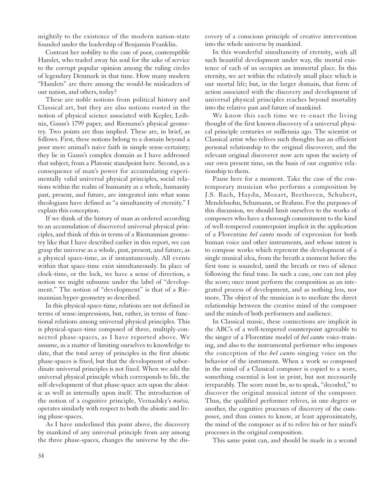mightily to the existence of the modern nation-state founded under the leadership of Benjamin Franklin.

Contrast her nobility to the case of poor, contemptible Hamlet, who traded away his soul for the sake of service to the corrupt popular opinion among the ruling circles of legendary Denmark in that time. How many modern "Hamlets" are there among the would-be misleaders of our nation, and others, today?

These are noble notions from political history and Classical art, but they are also notions rooted in the notion of physical science associated with Kepler, Leibniz, Gauss's 1799 paper, and Riemann's physical geometry. Two points are thus implied. These are, in brief, as follows. First, these notions belong to a domain beyond a poor mere animal's naive faith in simple sense-certainty; they lie in Gauss's complex domain as I have addressed that subject, from a Platonic standpoint here. Second, as a consequence of man's power for accumulating experimentally valid universal physical principles, social relations within the realm of humanity as a whole, humanity past, present, and future, are integrated into what some theologians have defined as "a simultaneity of eternity." I explain this conception.

If we think of the history of man as ordered according to an accumulation of discovered universal physical principles, and think of this in terms of a Riemannian geometry like that I have described earlier in this report, we can grasp the universe as a whole, past, present, and future, as a physical space-time, as if instantaneously. All events within that space-time exist simultaneously. In place of clock-time, or the lock, we have a sense of direction, a notion we might subsume under the label of "development." The notion of "development" is that of a Riemannian hyper-geometry so described.

In this physical-space-time, relations are not defined in terms of sense-impressions, but, rather, in terms of functional relations among universal physical principles. This is physical-space-time composed of three, multiply-connected phase-spaces, as I have reported above. We assume, as a matter of limiting ourselves to knowledge to date, that the total array of principles in the first abiotic phase-spaces is fixed, but that the development of subordinate universal principles is not fixed. When we add the universal physical principle which corresponds to life, the self-development of that phase-space acts upon the abiotic as well as internally upon itself. The introduction of the notion of a cognitive principle, Vernadsky's *noësis,* operates similarly with respect to both the abiotic and living phase-spaces.

As I have underlined this point above, the discovery by mankind of any universal principle from any among the three phase-spaces, changes the universe by the discovery of a conscious principle of creative intervention into the whole universe by mankind.

In this wonderful simultaneity of eternity, with all such beautiful development under way, the mortal existence of each of us occupies an immortal place. In this eternity, we act within the relatively small place which is our mortal life; but, in the larger domain, that form of action associated with the discovery and development of universal physical principles reaches beyond mortality into the relative past and future of mankind.

We know this each time we re-enact the living thought of the first known discovery of a universal physical principle centuries or millennia ago. The scientist or Classical artist who relives such thoughts has an efficient personal relationship to the original discoverer, and the relevant original discoverer now acts upon the society of our own present time, on the basis of our cognitive relationship to them.

Pause here for a moment. Take the case of the contemporary musician who performs a composition by J.S. Bach, Haydn, Mozart, Beethoven, Schubert, Mendelssohn, Schumann, or Brahms. For the purposes of this discussion, we should limit ourselves to the works of composers who have a thorough commitment to the kind of well-tempered counterpoint implicit in the application of a Florentine *bel canto* mode of expression for both human voice and other instruments, and whose intent is to compose works which represent the development of a single musical idea, from the breath a moment before the first tone is sounded, until the breath or two of silence following the final tone. In such a case, one can not play the score; once must perform the composition as an integrated process of development, and as nothing less, nor more. The object of the musician is to mediate the direct relationship between the creative mind of the composer and the minds of both performers and audience.

In Classical music, these connections are implicit in the ABC's of a well-tempered counterpoint agreeable to the singer of a Florentine model of *bel canto* voice-training, and also to the instrumental performer who imposes the conception of the *bel canto* singing voice on the behavior of the instrument. When a work so composed in the mind of a Classical composer is copied to a score, something essential is lost in print, but not necessarily irreparably. The score must be, so to speak, "decoded," to discover the original musical intent of the composer. Thus, the qualified performer relives, in one degree or another, the cognitive processes of discovery of the composer, and thus comes to know, at least approximately, the mind of the composer as if to relive his or her mind's processes in the original composition.

This same point can, and should be made in a second